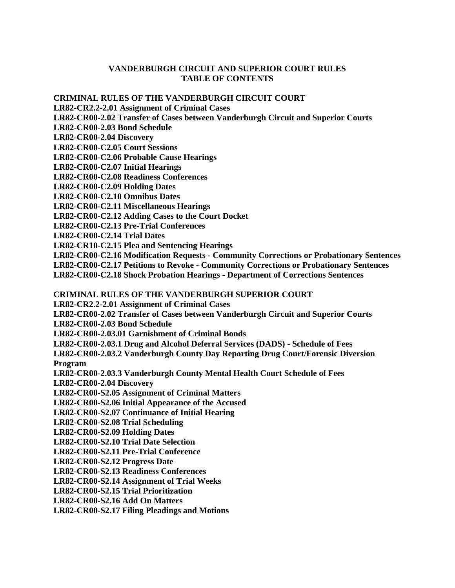## **VANDERBURGH CIRCUIT AND SUPERIOR COURT RULES TABLE OF CONTENTS**

**CRIMINAL RULES OF THE VANDERBURGH CIRCUIT COURT LR82-CR2.2-2.01 Assignment of Criminal Cases LR82-CR00-2.02 Transfer of Cases between Vanderburgh Circuit and Superior Courts LR82-CR00-2.03 Bond Schedule LR82-CR00-2.04 Discovery LR82-CR00-C2.05 Court Sessions LR82-CR00-C2.06 Probable Cause Hearings LR82-CR00-C2.07 Initial Hearings LR82-CR00-C2.08 Readiness Conferences LR82-CR00-C2.09 Holding Dates LR82-CR00-C2.10 Omnibus Dates LR82-CR00-C2.11 Miscellaneous Hearings LR82-CR00-C2.12 Adding Cases to the Court Docket LR82-CR00-C2.13 Pre-Trial Conferences LR82-CR00-C2.14 Trial Dates LR82-CR10-C2.15 Plea and Sentencing Hearings LR82-CR00-C2.16 Modification Requests - Community Corrections or Probationary Sentences LR82-CR00-C2.17 Petitions to Revoke - Community Corrections or Probationary Sentences LR82-CR00-C2.18 Shock Probation Hearings - Department of Corrections Sentences CRIMINAL RULES OF THE VANDERBURGH SUPERIOR COURT LR82-CR2.2-2.01 Assignment of Criminal Cases LR82-CR00-2.02 Transfer of Cases between Vanderburgh Circuit and Superior Courts LR82-CR00-2.03 Bond Schedule LR82-CR00-2.03.01 Garnishment of Criminal Bonds LR82-CR00-2.03.1 Drug and Alcohol Deferral Services (DADS) - Schedule of Fees LR82-CR00-2.03.2 Vanderburgh County Day Reporting Drug Court/Forensic Diversion Program LR82-CR00-2.03.3 Vanderburgh County Mental Health Court Schedule of Fees LR82-CR00-2.04 Discovery LR82-CR00-S2.05 Assignment of Criminal Matters LR82-CR00-S2.06 Initial Appearance of the Accused LR82-CR00-S2.07 Continuance of Initial Hearing LR82-CR00-S2.08 Trial Scheduling LR82-CR00-S2.09 Holding Dates LR82-CR00-S2.10 Trial Date Selection LR82-CR00-S2.11 Pre-Trial Conference LR82-CR00-S2.12 Progress Date LR82-CR00-S2.13 Readiness Conferences LR82-CR00-S2.14 Assignment of Trial Weeks LR82-CR00-S2.15 Trial Prioritization LR82-CR00-S2.16 Add On Matters LR82-CR00-S2.17 Filing Pleadings and Motions**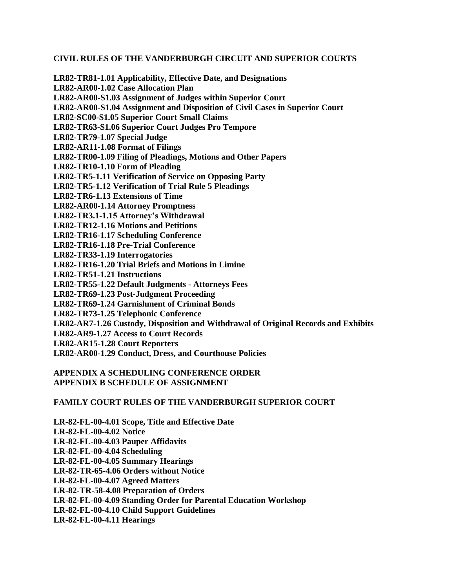## **CIVIL RULES OF THE VANDERBURGH CIRCUIT AND SUPERIOR COURTS**

**LR82-TR81-1.01 Applicability, Effective Date, and Designations LR82-AR00-1.02 Case Allocation Plan LR82-AR00-S1.03 Assignment of Judges within Superior Court LR82-AR00-S1.04 Assignment and Disposition of Civil Cases in Superior Court LR82-SC00-S1.05 Superior Court Small Claims LR82-TR63-S1.06 Superior Court Judges Pro Tempore LR82-TR79-1.07 Special Judge LR82-AR11-1.08 Format of Filings LR82-TR00-1.09 Filing of Pleadings, Motions and Other Papers LR82-TR10-1.10 Form of Pleading LR82-TR5-1.11 Verification of Service on Opposing Party LR82-TR5-1.12 Verification of Trial Rule 5 Pleadings LR82-TR6-1.13 Extensions of Time LR82-AR00-1.14 Attorney Promptness LR82-TR3.1-1.15 Attorney's Withdrawal LR82-TR12-1.16 Motions and Petitions LR82-TR16-1.17 Scheduling Conference LR82-TR16-1.18 Pre-Trial Conference LR82-TR33-1.19 Interrogatories LR82-TR16-1.20 Trial Briefs and Motions in Limine LR82-TR51-1.21 Instructions LR82-TR55-1.22 Default Judgments - Attorneys Fees LR82-TR69-1.23 Post-Judgment Proceeding LR82-TR69-1.24 Garnishment of Criminal Bonds LR82-TR73-1.25 Telephonic Conference LR82-AR7-1.26 Custody, Disposition and Withdrawal of Original Records and Exhibits LR82-AR9-1.27 Access to Court Records LR82-AR15-1.28 Court Reporters LR82-AR00-1.29 Conduct, Dress, and Courthouse Policies** 

**APPENDIX A SCHEDULING CONFERENCE ORDER APPENDIX B SCHEDULE OF ASSIGNMENT**

# **FAMILY COURT RULES OF THE VANDERBURGH SUPERIOR COURT**

**LR-82-FL-00-4.01 Scope, Title and Effective Date LR-82-FL-00-4.02 Notice LR-82-FL-00-4.03 Pauper Affidavits LR-82-FL-00-4.04 Scheduling LR-82-FL-00-4.05 Summary Hearings LR-82-TR-65-4.06 Orders without Notice LR-82-FL-00-4.07 Agreed Matters LR-82-TR-58-4.08 Preparation of Orders LR-82-FL-00-4.09 Standing Order for Parental Education Workshop LR-82-FL-00-4.10 Child Support Guidelines LR-82-FL-00-4.11 Hearings**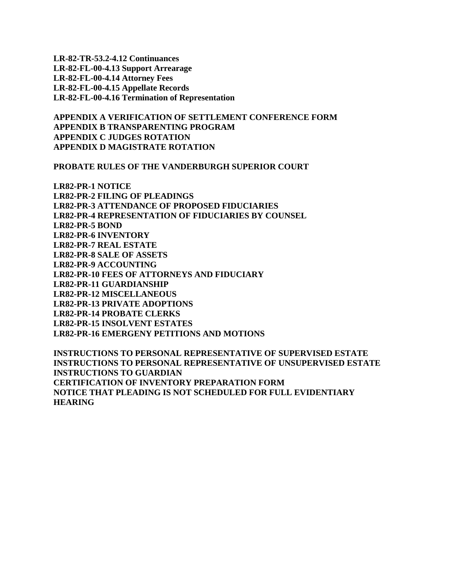**LR-82-TR-53.2-4.12 Continuances LR-82-FL-00-4.13 Support Arrearage LR-82-FL-00-4.14 Attorney Fees LR-82-FL-00-4.15 Appellate Records LR-82-FL-00-4.16 Termination of Representation** 

**APPENDIX A VERIFICATION OF SETTLEMENT CONFERENCE FORM APPENDIX B TRANSPARENTING PROGRAM APPENDIX C JUDGES ROTATION APPENDIX D MAGISTRATE ROTATION**

#### **PROBATE RULES OF THE VANDERBURGH SUPERIOR COURT**

**LR82-PR-1 NOTICE LR82-PR-2 FILING OF PLEADINGS LR82-PR-3 ATTENDANCE OF PROPOSED FIDUCIARIES LR82-PR-4 REPRESENTATION OF FIDUCIARIES BY COUNSEL LR82-PR-5 BOND LR82-PR-6 INVENTORY LR82-PR-7 REAL ESTATE LR82-PR-8 SALE OF ASSETS LR82-PR-9 ACCOUNTING LR82-PR-10 FEES OF ATTORNEYS AND FIDUCIARY LR82-PR-11 GUARDIANSHIP LR82-PR-12 MISCELLANEOUS LR82-PR-13 PRIVATE ADOPTIONS LR82-PR-14 PROBATE CLERKS LR82-PR-15 INSOLVENT ESTATES LR82-PR-16 EMERGENY PETITIONS AND MOTIONS** 

**INSTRUCTIONS TO PERSONAL REPRESENTATIVE OF SUPERVISED ESTATE INSTRUCTIONS TO PERSONAL REPRESENTATIVE OF UNSUPERVISED ESTATE INSTRUCTIONS TO GUARDIAN CERTIFICATION OF INVENTORY PREPARATION FORM NOTICE THAT PLEADING IS NOT SCHEDULED FOR FULL EVIDENTIARY HEARING**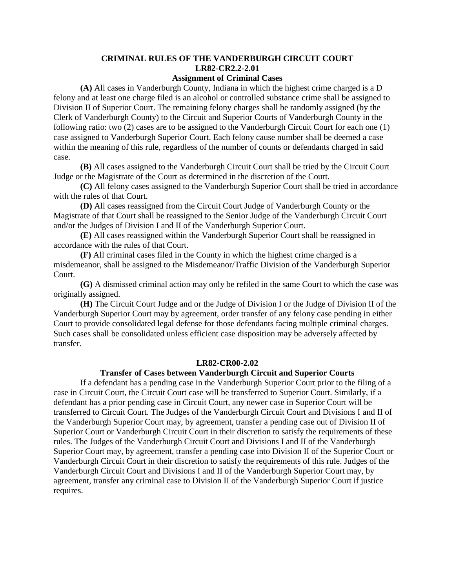# **CRIMINAL RULES OF THE VANDERBURGH CIRCUIT COURT LR82-CR2.2-2.01**

# **Assignment of Criminal Cases**

**(A)** All cases in Vanderburgh County, Indiana in which the highest crime charged is a D felony and at least one charge filed is an alcohol or controlled substance crime shall be assigned to Division II of Superior Court. The remaining felony charges shall be randomly assigned (by the Clerk of Vanderburgh County) to the Circuit and Superior Courts of Vanderburgh County in the following ratio: two (2) cases are to be assigned to the Vanderburgh Circuit Court for each one (1) case assigned to Vanderburgh Superior Court. Each felony cause number shall be deemed a case within the meaning of this rule, regardless of the number of counts or defendants charged in said case.

**(B)** All cases assigned to the Vanderburgh Circuit Court shall be tried by the Circuit Court Judge or the Magistrate of the Court as determined in the discretion of the Court.

**(C)** All felony cases assigned to the Vanderburgh Superior Court shall be tried in accordance with the rules of that Court.

**(D)** All cases reassigned from the Circuit Court Judge of Vanderburgh County or the Magistrate of that Court shall be reassigned to the Senior Judge of the Vanderburgh Circuit Court and/or the Judges of Division I and II of the Vanderburgh Superior Court.

**(E)** All cases reassigned within the Vanderburgh Superior Court shall be reassigned in accordance with the rules of that Court.

**(F)** All criminal cases filed in the County in which the highest crime charged is a misdemeanor, shall be assigned to the Misdemeanor/Traffic Division of the Vanderburgh Superior Court.

**(G)** A dismissed criminal action may only be refiled in the same Court to which the case was originally assigned.

**(H)** The Circuit Court Judge and or the Judge of Division I or the Judge of Division II of the Vanderburgh Superior Court may by agreement, order transfer of any felony case pending in either Court to provide consolidated legal defense for those defendants facing multiple criminal charges. Such cases shall be consolidated unless efficient case disposition may be adversely affected by transfer.

#### **LR82-CR00-2.02**

#### **Transfer of Cases between Vanderburgh Circuit and Superior Courts**

If a defendant has a pending case in the Vanderburgh Superior Court prior to the filing of a case in Circuit Court, the Circuit Court case will be transferred to Superior Court. Similarly, if a defendant has a prior pending case in Circuit Court, any newer case in Superior Court will be transferred to Circuit Court. The Judges of the Vanderburgh Circuit Court and Divisions I and II of the Vanderburgh Superior Court may, by agreement, transfer a pending case out of Division II of Superior Court or Vanderburgh Circuit Court in their discretion to satisfy the requirements of these rules. The Judges of the Vanderburgh Circuit Court and Divisions I and II of the Vanderburgh Superior Court may, by agreement, transfer a pending case into Division II of the Superior Court or Vanderburgh Circuit Court in their discretion to satisfy the requirements of this rule. Judges of the Vanderburgh Circuit Court and Divisions I and II of the Vanderburgh Superior Court may, by agreement, transfer any criminal case to Division II of the Vanderburgh Superior Court if justice requires.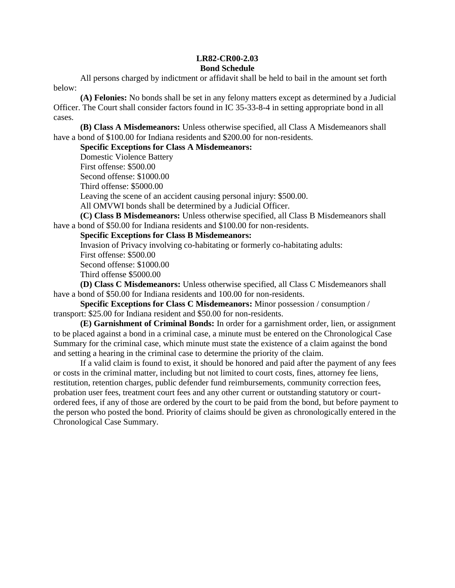# **LR82-CR00-2.03 Bond Schedule**

All persons charged by indictment or affidavit shall be held to bail in the amount set forth below:

**(A) Felonies:** No bonds shall be set in any felony matters except as determined by a Judicial Officer. The Court shall consider factors found in IC 35-33-8-4 in setting appropriate bond in all cases.

**(B) Class A Misdemeanors:** Unless otherwise specified, all Class A Misdemeanors shall have a bond of \$100.00 for Indiana residents and \$200.00 for non-residents.

**Specific Exceptions for Class A Misdemeanors:** 

Domestic Violence Battery First offense: \$500.00

Second offense: \$1000.00

Third offense: \$5000.00

Leaving the scene of an accident causing personal injury: \$500.00.

All OMVWI bonds shall be determined by a Judicial Officer.

**(C) Class B Misdemeanors:** Unless otherwise specified, all Class B Misdemeanors shall have a bond of \$50.00 for Indiana residents and \$100.00 for non-residents.

**Specific Exceptions for Class B Misdemeanors:** 

Invasion of Privacy involving co-habitating or formerly co-habitating adults:

First offense: \$500.00

Second offense: \$1000.00

Third offense \$5000.00

**(D) Class C Misdemeanors:** Unless otherwise specified, all Class C Misdemeanors shall have a bond of \$50.00 for Indiana residents and 100.00 for non-residents.

**Specific Exceptions for Class C Misdemeanors:** Minor possession / consumption / transport: \$25.00 for Indiana resident and \$50.00 for non-residents.

**(E) Garnishment of Criminal Bonds:** In order for a garnishment order, lien, or assignment to be placed against a bond in a criminal case, a minute must be entered on the Chronological Case Summary for the criminal case, which minute must state the existence of a claim against the bond and setting a hearing in the criminal case to determine the priority of the claim.

If a valid claim is found to exist, it should be honored and paid after the payment of any fees or costs in the criminal matter, including but not limited to court costs, fines, attorney fee liens, restitution, retention charges, public defender fund reimbursements, community correction fees, probation user fees, treatment court fees and any other current or outstanding statutory or courtordered fees, if any of those are ordered by the court to be paid from the bond, but before payment to the person who posted the bond. Priority of claims should be given as chronologically entered in the Chronological Case Summary.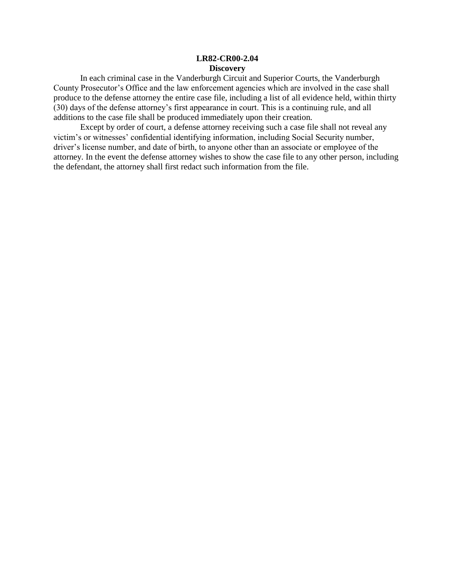#### **LR82-CR00-2.04 Discovery**

In each criminal case in the Vanderburgh Circuit and Superior Courts, the Vanderburgh County Prosecutor's Office and the law enforcement agencies which are involved in the case shall produce to the defense attorney the entire case file, including a list of all evidence held, within thirty (30) days of the defense attorney's first appearance in court. This is a continuing rule, and all additions to the case file shall be produced immediately upon their creation.

Except by order of court, a defense attorney receiving such a case file shall not reveal any victim's or witnesses' confidential identifying information, including Social Security number, driver's license number, and date of birth, to anyone other than an associate or employee of the attorney. In the event the defense attorney wishes to show the case file to any other person, including the defendant, the attorney shall first redact such information from the file.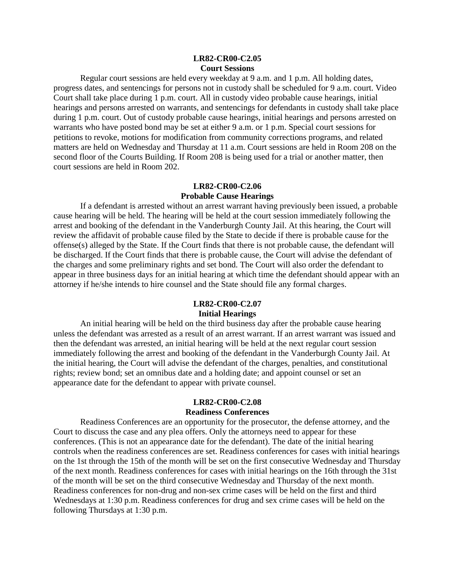### **LR82-CR00-C2.05 Court Sessions**

Regular court sessions are held every weekday at 9 a.m. and 1 p.m. All holding dates, progress dates, and sentencings for persons not in custody shall be scheduled for 9 a.m. court. Video Court shall take place during 1 p.m. court. All in custody video probable cause hearings, initial hearings and persons arrested on warrants, and sentencings for defendants in custody shall take place during 1 p.m. court. Out of custody probable cause hearings, initial hearings and persons arrested on warrants who have posted bond may be set at either 9 a.m. or 1 p.m. Special court sessions for petitions to revoke, motions for modification from community corrections programs, and related matters are held on Wednesday and Thursday at 11 a.m. Court sessions are held in Room 208 on the second floor of the Courts Building. If Room 208 is being used for a trial or another matter, then court sessions are held in Room 202.

#### **LR82-CR00-C2.06 Probable Cause Hearings**

If a defendant is arrested without an arrest warrant having previously been issued, a probable cause hearing will be held. The hearing will be held at the court session immediately following the arrest and booking of the defendant in the Vanderburgh County Jail. At this hearing, the Court will review the affidavit of probable cause filed by the State to decide if there is probable cause for the offense(s) alleged by the State. If the Court finds that there is not probable cause, the defendant will be discharged. If the Court finds that there is probable cause, the Court will advise the defendant of the charges and some preliminary rights and set bond. The Court will also order the defendant to appear in three business days for an initial hearing at which time the defendant should appear with an attorney if he/she intends to hire counsel and the State should file any formal charges.

## **LR82-CR00-C2.07 Initial Hearings**

An initial hearing will be held on the third business day after the probable cause hearing unless the defendant was arrested as a result of an arrest warrant. If an arrest warrant was issued and then the defendant was arrested, an initial hearing will be held at the next regular court session immediately following the arrest and booking of the defendant in the Vanderburgh County Jail. At the initial hearing, the Court will advise the defendant of the charges, penalties, and constitutional rights; review bond; set an omnibus date and a holding date; and appoint counsel or set an appearance date for the defendant to appear with private counsel.

# **LR82-CR00-C2.08**

# **Readiness Conferences**

Readiness Conferences are an opportunity for the prosecutor, the defense attorney, and the Court to discuss the case and any plea offers. Only the attorneys need to appear for these conferences. (This is not an appearance date for the defendant). The date of the initial hearing controls when the readiness conferences are set. Readiness conferences for cases with initial hearings on the 1st through the 15th of the month will be set on the first consecutive Wednesday and Thursday of the next month. Readiness conferences for cases with initial hearings on the 16th through the 31st of the month will be set on the third consecutive Wednesday and Thursday of the next month. Readiness conferences for non-drug and non-sex crime cases will be held on the first and third Wednesdays at 1:30 p.m. Readiness conferences for drug and sex crime cases will be held on the following Thursdays at 1:30 p.m.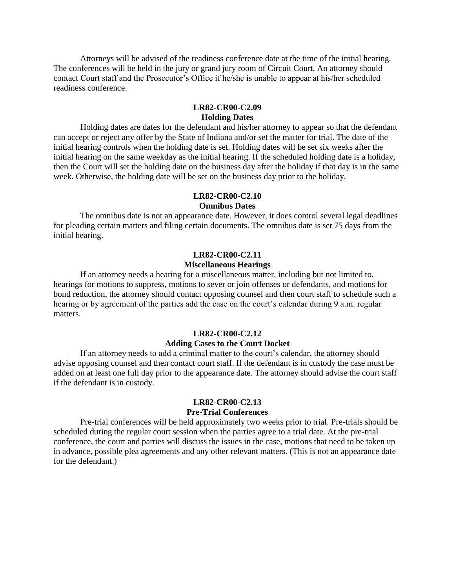Attorneys will be advised of the readiness conference date at the time of the initial hearing. The conferences will be held in the jury or grand jury room of Circuit Court. An attorney should contact Court staff and the Prosecutor's Office if he/she is unable to appear at his/her scheduled readiness conference.

## **LR82-CR00-C2.09 Holding Dates**

Holding dates are dates for the defendant and his/her attorney to appear so that the defendant can accept or reject any offer by the State of Indiana and/or set the matter for trial. The date of the initial hearing controls when the holding date is set. Holding dates will be set six weeks after the initial hearing on the same weekday as the initial hearing. If the scheduled holding date is a holiday, then the Court will set the holding date on the business day after the holiday if that day is in the same week. Otherwise, the holding date will be set on the business day prior to the holiday.

#### **LR82-CR00-C2.10 Omnibus Dates**

The omnibus date is not an appearance date. However, it does control several legal deadlines for pleading certain matters and filing certain documents. The omnibus date is set 75 days from the initial hearing.

#### **LR82-CR00-C2.11**

## **Miscellaneous Hearings**

If an attorney needs a hearing for a miscellaneous matter, including but not limited to, hearings for motions to suppress, motions to sever or join offenses or defendants, and motions for bond reduction, the attorney should contact opposing counsel and then court staff to schedule such a hearing or by agreement of the parties add the case on the court's calendar during 9 a.m. regular matters.

#### **LR82-CR00-C2.12**

## **Adding Cases to the Court Docket**

If an attorney needs to add a criminal matter to the court's calendar, the attorney should advise opposing counsel and then contact court staff. If the defendant is in custody the case must be added on at least one full day prior to the appearance date. The attorney should advise the court staff if the defendant is in custody.

#### **LR82-CR00-C2.13**

### **Pre-Trial Conferences**

Pre-trial conferences will be held approximately two weeks prior to trial. Pre-trials should be scheduled during the regular court session when the parties agree to a trial date. At the pre-trial conference, the court and parties will discuss the issues in the case, motions that need to be taken up in advance, possible plea agreements and any other relevant matters. (This is not an appearance date for the defendant.)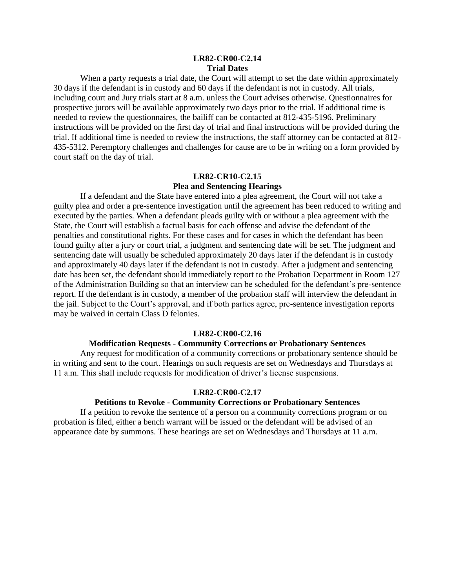#### **LR82-CR00-C2.14 Trial Dates**

When a party requests a trial date, the Court will attempt to set the date within approximately 30 days if the defendant is in custody and 60 days if the defendant is not in custody. All trials, including court and Jury trials start at 8 a.m. unless the Court advises otherwise. Questionnaires for prospective jurors will be available approximately two days prior to the trial. If additional time is needed to review the questionnaires, the bailiff can be contacted at 812-435-5196. Preliminary instructions will be provided on the first day of trial and final instructions will be provided during the trial. If additional time is needed to review the instructions, the staff attorney can be contacted at 812- 435-5312. Peremptory challenges and challenges for cause are to be in writing on a form provided by court staff on the day of trial.

# **LR82-CR10-C2.15 Plea and Sentencing Hearings**

If a defendant and the State have entered into a plea agreement, the Court will not take a guilty plea and order a pre-sentence investigation until the agreement has been reduced to writing and executed by the parties. When a defendant pleads guilty with or without a plea agreement with the State, the Court will establish a factual basis for each offense and advise the defendant of the penalties and constitutional rights. For these cases and for cases in which the defendant has been found guilty after a jury or court trial, a judgment and sentencing date will be set. The judgment and sentencing date will usually be scheduled approximately 20 days later if the defendant is in custody and approximately 40 days later if the defendant is not in custody. After a judgment and sentencing date has been set, the defendant should immediately report to the Probation Department in Room 127 of the Administration Building so that an interview can be scheduled for the defendant's pre-sentence report. If the defendant is in custody, a member of the probation staff will interview the defendant in the jail. Subject to the Court's approval, and if both parties agree, pre-sentence investigation reports may be waived in certain Class D felonies.

#### **LR82-CR00-C2.16**

#### **Modification Requests - Community Corrections or Probationary Sentences**

Any request for modification of a community corrections or probationary sentence should be in writing and sent to the court. Hearings on such requests are set on Wednesdays and Thursdays at 11 a.m. This shall include requests for modification of driver's license suspensions.

#### **LR82-CR00-C2.17**

### **Petitions to Revoke - Community Corrections or Probationary Sentences**

If a petition to revoke the sentence of a person on a community corrections program or on probation is filed, either a bench warrant will be issued or the defendant will be advised of an appearance date by summons. These hearings are set on Wednesdays and Thursdays at 11 a.m.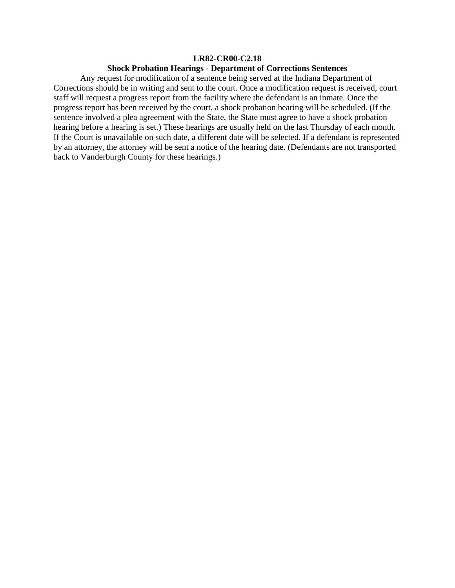#### **LR82-CR00-C2.18**

## **Shock Probation Hearings - Department of Corrections Sentences**

Any request for modification of a sentence being served at the Indiana Department of Corrections should be in writing and sent to the court. Once a modification request is received, court staff will request a progress report from the facility where the defendant is an inmate. Once the progress report has been received by the court, a shock probation hearing will be scheduled. (If the sentence involved a plea agreement with the State, the State must agree to have a shock probation hearing before a hearing is set.) These hearings are usually held on the last Thursday of each month. If the Court is unavailable on such date, a different date will be selected. If a defendant is represented by an attorney, the attorney will be sent a notice of the hearing date. (Defendants are not transported back to Vanderburgh County for these hearings.)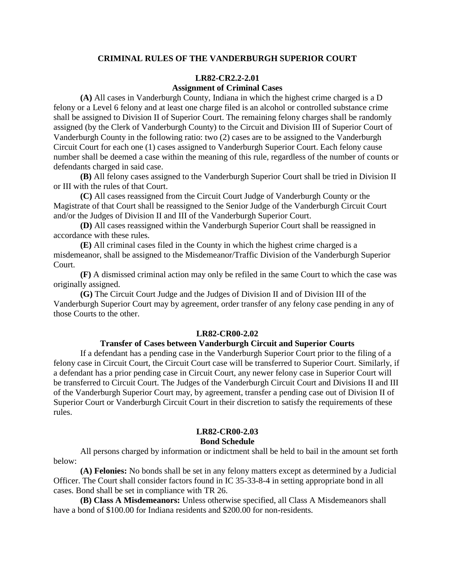### **CRIMINAL RULES OF THE VANDERBURGH SUPERIOR COURT**

#### **LR82-CR2.2-2.01**

## **Assignment of Criminal Cases**

**(A)** All cases in Vanderburgh County, Indiana in which the highest crime charged is a D felony or a Level 6 felony and at least one charge filed is an alcohol or controlled substance crime shall be assigned to Division II of Superior Court. The remaining felony charges shall be randomly assigned (by the Clerk of Vanderburgh County) to the Circuit and Division III of Superior Court of Vanderburgh County in the following ratio: two (2) cases are to be assigned to the Vanderburgh Circuit Court for each one (1) cases assigned to Vanderburgh Superior Court. Each felony cause number shall be deemed a case within the meaning of this rule, regardless of the number of counts or defendants charged in said case.

**(B)** All felony cases assigned to the Vanderburgh Superior Court shall be tried in Division II or III with the rules of that Court.

**(C)** All cases reassigned from the Circuit Court Judge of Vanderburgh County or the Magistrate of that Court shall be reassigned to the Senior Judge of the Vanderburgh Circuit Court and/or the Judges of Division II and III of the Vanderburgh Superior Court.

**(D)** All cases reassigned within the Vanderburgh Superior Court shall be reassigned in accordance with these rules.

**(E)** All criminal cases filed in the County in which the highest crime charged is a misdemeanor, shall be assigned to the Misdemeanor/Traffic Division of the Vanderburgh Superior Court.

**(F)** A dismissed criminal action may only be refiled in the same Court to which the case was originally assigned.

**(G)** The Circuit Court Judge and the Judges of Division II and of Division III of the Vanderburgh Superior Court may by agreement, order transfer of any felony case pending in any of those Courts to the other.

#### **LR82-CR00-2.02**

#### **Transfer of Cases between Vanderburgh Circuit and Superior Courts**

If a defendant has a pending case in the Vanderburgh Superior Court prior to the filing of a felony case in Circuit Court, the Circuit Court case will be transferred to Superior Court. Similarly, if a defendant has a prior pending case in Circuit Court, any newer felony case in Superior Court will be transferred to Circuit Court. The Judges of the Vanderburgh Circuit Court and Divisions II and III of the Vanderburgh Superior Court may, by agreement, transfer a pending case out of Division II of Superior Court or Vanderburgh Circuit Court in their discretion to satisfy the requirements of these rules.

#### **LR82-CR00-2.03 Bond Schedule**

All persons charged by information or indictment shall be held to bail in the amount set forth below:

**(A) Felonies:** No bonds shall be set in any felony matters except as determined by a Judicial Officer. The Court shall consider factors found in IC 35-33-8-4 in setting appropriate bond in all cases. Bond shall be set in compliance with TR 26.

**(B) Class A Misdemeanors:** Unless otherwise specified, all Class A Misdemeanors shall have a bond of \$100.00 for Indiana residents and \$200.00 for non-residents.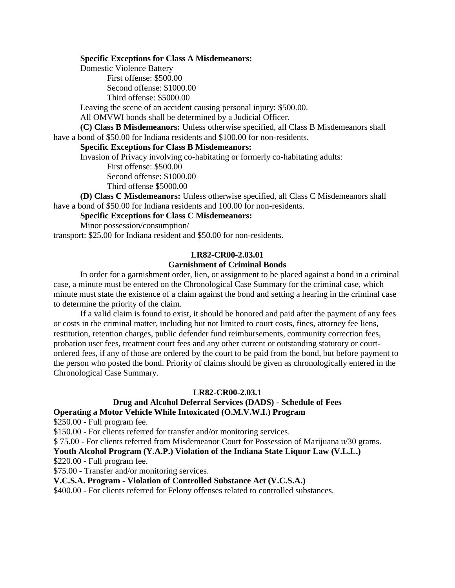#### **Specific Exceptions for Class A Misdemeanors:**

Domestic Violence Battery First offense: \$500.00 Second offense: \$1000.00 Third offense: \$5000.00

Leaving the scene of an accident causing personal injury: \$500.00.

All OMVWI bonds shall be determined by a Judicial Officer.

**(C) Class B Misdemeanors:** Unless otherwise specified, all Class B Misdemeanors shall have a bond of \$50.00 for Indiana residents and \$100.00 for non-residents.

# **Specific Exceptions for Class B Misdemeanors:**

Invasion of Privacy involving co-habitating or formerly co-habitating adults: First offense: \$500.00

Second offense: \$1000.00

Third offense \$5000.00

**(D) Class C Misdemeanors:** Unless otherwise specified, all Class C Misdemeanors shall have a bond of \$50.00 for Indiana residents and 100.00 for non-residents.

#### **Specific Exceptions for Class C Misdemeanors:**

Minor possession/consumption/

transport: \$25.00 for Indiana resident and \$50.00 for non-residents.

#### **LR82-CR00-2.03.01**

#### **Garnishment of Criminal Bonds**

In order for a garnishment order, lien, or assignment to be placed against a bond in a criminal case, a minute must be entered on the Chronological Case Summary for the criminal case, which minute must state the existence of a claim against the bond and setting a hearing in the criminal case to determine the priority of the claim.

If a valid claim is found to exist, it should be honored and paid after the payment of any fees or costs in the criminal matter, including but not limited to court costs, fines, attorney fee liens, restitution, retention charges, public defender fund reimbursements, community correction fees, probation user fees, treatment court fees and any other current or outstanding statutory or courtordered fees, if any of those are ordered by the court to be paid from the bond, but before payment to the person who posted the bond. Priority of claims should be given as chronologically entered in the Chronological Case Summary.

#### **LR82-CR00-2.03.1**

### **Drug and Alcohol Deferral Services (DADS) - Schedule of Fees Operating a Motor Vehicle While Intoxicated (O.M.V.W.I.) Program**

\$250.00 - Full program fee.

\$150.00 - For clients referred for transfer and/or monitoring services.

\$ 75.00 - For clients referred from Misdemeanor Court for Possession of Marijuana u/30 grams.

**Youth Alcohol Program (Y.A.P.) Violation of the Indiana State Liquor Law (V.L.L.)** 

\$220.00 - Full program fee.

\$75.00 - Transfer and/or monitoring services.

#### **V.C.S.A. Program - Violation of Controlled Substance Act (V.C.S.A.)**

\$400.00 - For clients referred for Felony offenses related to controlled substances.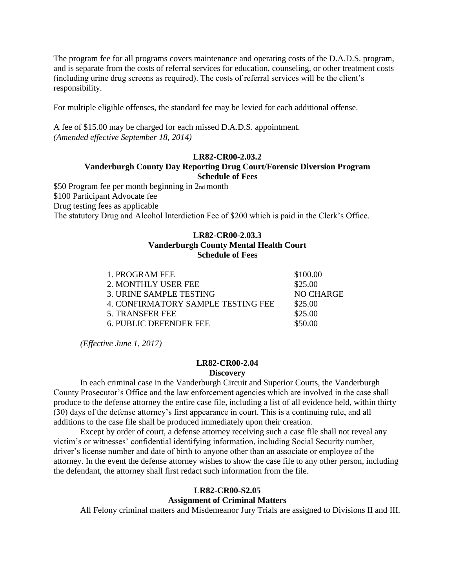The program fee for all programs covers maintenance and operating costs of the D.A.D.S. program, and is separate from the costs of referral services for education, counseling, or other treatment costs (including urine drug screens as required). The costs of referral services will be the client's responsibility.

For multiple eligible offenses, the standard fee may be levied for each additional offense.

A fee of \$15.00 may be charged for each missed D.A.D.S. appointment. *(Amended effective September 18, 2014)* 

#### **LR82-CR00-2.03.2 Vanderburgh County Day Reporting Drug Court/Forensic Diversion Program Schedule of Fees**

\$50 Program fee per month beginning in 2nd month \$100 Participant Advocate fee Drug testing fees as applicable The statutory Drug and Alcohol Interdiction Fee of \$200 which is paid in the Clerk's Office.

# **LR82-CR00-2.03.3 Vanderburgh County Mental Health Court Schedule of Fees**

| 1. PROGRAM FEE                     | \$100.00  |
|------------------------------------|-----------|
| 2. MONTHLY USER FEE                | \$25.00   |
| 3. URINE SAMPLE TESTING            | NO CHARGE |
| 4. CONFIRMATORY SAMPLE TESTING FEE | \$25.00   |
| 5. TRANSFER FEE                    | \$25.00   |
| 6. PUBLIC DEFENDER FEE             | \$50.00   |

*(Effective June 1, 2017)* 

## **LR82-CR00-2.04 Discovery**

In each criminal case in the Vanderburgh Circuit and Superior Courts, the Vanderburgh County Prosecutor's Office and the law enforcement agencies which are involved in the case shall produce to the defense attorney the entire case file, including a list of all evidence held, within thirty (30) days of the defense attorney's first appearance in court. This is a continuing rule, and all additions to the case file shall be produced immediately upon their creation.

Except by order of court, a defense attorney receiving such a case file shall not reveal any victim's or witnesses' confidential identifying information, including Social Security number, driver's license number and date of birth to anyone other than an associate or employee of the attorney. In the event the defense attorney wishes to show the case file to any other person, including the defendant, the attorney shall first redact such information from the file.

# **LR82-CR00-S2.05 Assignment of Criminal Matters**

All Felony criminal matters and Misdemeanor Jury Trials are assigned to Divisions II and III.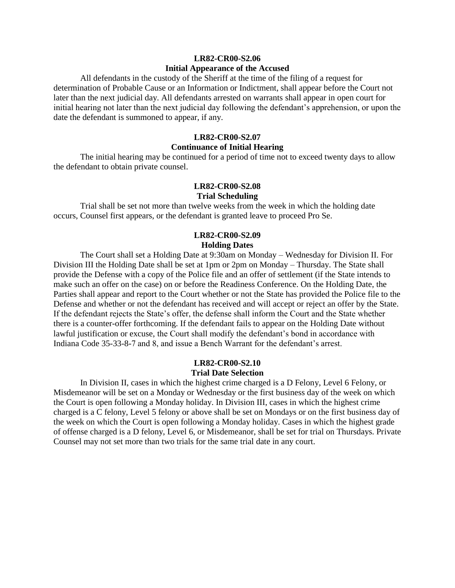# **LR82-CR00-S2.06**

#### **Initial Appearance of the Accused**

All defendants in the custody of the Sheriff at the time of the filing of a request for determination of Probable Cause or an Information or Indictment, shall appear before the Court not later than the next judicial day. All defendants arrested on warrants shall appear in open court for initial hearing not later than the next judicial day following the defendant's apprehension, or upon the date the defendant is summoned to appear, if any.

### **LR82-CR00-S2.07**

# **Continuance of Initial Hearing**

The initial hearing may be continued for a period of time not to exceed twenty days to allow the defendant to obtain private counsel.

#### **LR82-CR00-S2.08 Trial Scheduling**

Trial shall be set not more than twelve weeks from the week in which the holding date occurs, Counsel first appears, or the defendant is granted leave to proceed Pro Se.

# **LR82-CR00-S2.09 Holding Dates**

The Court shall set a Holding Date at 9:30am on Monday – Wednesday for Division II. For Division III the Holding Date shall be set at 1pm or 2pm on Monday – Thursday. The State shall provide the Defense with a copy of the Police file and an offer of settlement (if the State intends to make such an offer on the case) on or before the Readiness Conference. On the Holding Date, the Parties shall appear and report to the Court whether or not the State has provided the Police file to the Defense and whether or not the defendant has received and will accept or reject an offer by the State. If the defendant rejects the State's offer, the defense shall inform the Court and the State whether there is a counter-offer forthcoming. If the defendant fails to appear on the Holding Date without lawful justification or excuse, the Court shall modify the defendant's bond in accordance with Indiana Code 35-33-8-7 and 8, and issue a Bench Warrant for the defendant's arrest.

#### **LR82-CR00-S2.10 Trial Date Selection**

In Division II, cases in which the highest crime charged is a D Felony, Level 6 Felony, or Misdemeanor will be set on a Monday or Wednesday or the first business day of the week on which the Court is open following a Monday holiday. In Division III, cases in which the highest crime charged is a C felony, Level 5 felony or above shall be set on Mondays or on the first business day of the week on which the Court is open following a Monday holiday. Cases in which the highest grade of offense charged is a D felony, Level 6, or Misdemeanor, shall be set for trial on Thursdays. Private Counsel may not set more than two trials for the same trial date in any court.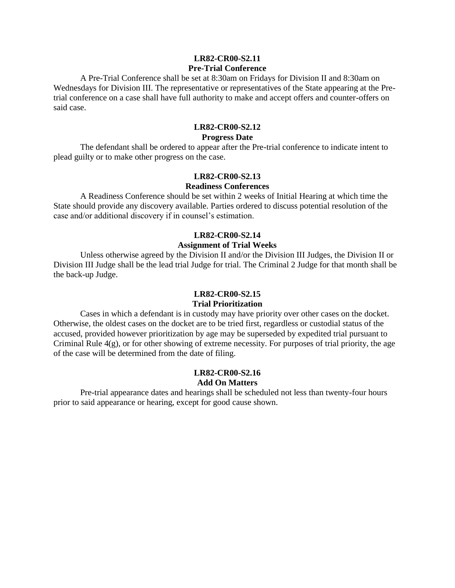# **LR82-CR00-S2.11 Pre-Trial Conference**

A Pre-Trial Conference shall be set at 8:30am on Fridays for Division II and 8:30am on Wednesdays for Division III. The representative or representatives of the State appearing at the Pretrial conference on a case shall have full authority to make and accept offers and counter-offers on said case.

# **LR82-CR00-S2.12 Progress Date**

The defendant shall be ordered to appear after the Pre-trial conference to indicate intent to plead guilty or to make other progress on the case.

# **LR82-CR00-S2.13**

## **Readiness Conferences**

A Readiness Conference should be set within 2 weeks of Initial Hearing at which time the State should provide any discovery available. Parties ordered to discuss potential resolution of the case and/or additional discovery if in counsel's estimation.

#### **LR82-CR00-S2.14 Assignment of Trial Weeks**

# Unless otherwise agreed by the Division II and/or the Division III Judges, the Division II or Division III Judge shall be the lead trial Judge for trial. The Criminal 2 Judge for that month shall be the back-up Judge.

# **LR82-CR00-S2.15 Trial Prioritization**

Cases in which a defendant is in custody may have priority over other cases on the docket. Otherwise, the oldest cases on the docket are to be tried first, regardless or custodial status of the accused, provided however prioritization by age may be superseded by expedited trial pursuant to Criminal Rule  $4(g)$ , or for other showing of extreme necessity. For purposes of trial priority, the age of the case will be determined from the date of filing.

# **LR82-CR00-S2.16 Add On Matters**

Pre-trial appearance dates and hearings shall be scheduled not less than twenty-four hours prior to said appearance or hearing, except for good cause shown.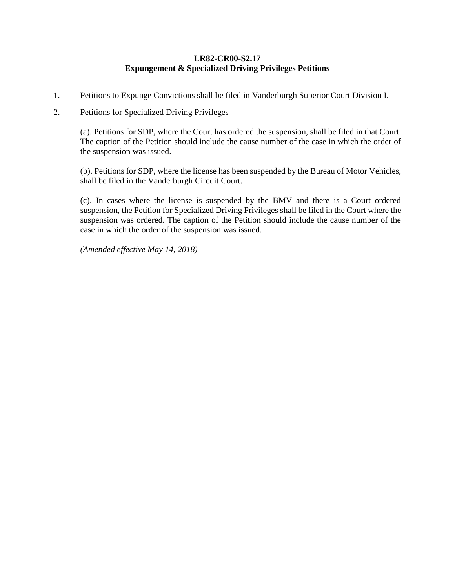# **LR82-CR00-S2.17 Expungement & Specialized Driving Privileges Petitions**

- 1. Petitions to Expunge Convictions shall be filed in Vanderburgh Superior Court Division I.
- 2. Petitions for Specialized Driving Privileges

(a). Petitions for SDP, where the Court has ordered the suspension, shall be filed in that Court. The caption of the Petition should include the cause number of the case in which the order of the suspension was issued.

(b). Petitions for SDP, where the license has been suspended by the Bureau of Motor Vehicles, shall be filed in the Vanderburgh Circuit Court.

(c). In cases where the license is suspended by the BMV and there is a Court ordered suspension, the Petition for Specialized Driving Privileges shall be filed in the Court where the suspension was ordered. The caption of the Petition should include the cause number of the case in which the order of the suspension was issued.

*(Amended effective May 14, 2018)*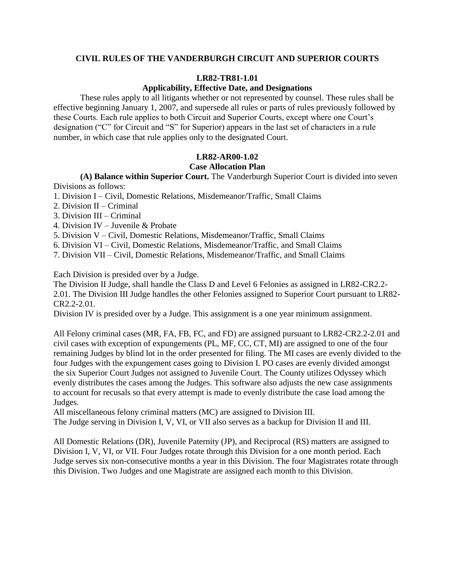## **CIVIL RULES OF THE VANDERBURGH CIRCUIT AND SUPERIOR COURTS**

## **LR82-TR81-1.01**

## **Applicability, Effective Date, and Designations**

These rules apply to all litigants whether or not represented by counsel. These rules shall be effective beginning January 1, 2007, and supersede all rules or parts of rules previously followed by these Courts. Each rule applies to both Circuit and Superior Courts, except where one Court's designation ("C" for Circuit and "S" for Superior) appears in the last set of characters in a rule number, in which case that rule applies only to the designated Court.

# **LR82-AR00-1.02 Case Allocation Plan**

**(A) Balance within Superior Court.** The Vanderburgh Superior Court is divided into seven Divisions as follows:

- 1. Division I Civil, Domestic Relations, Misdemeanor/Traffic, Small Claims
- 2. Division II Criminal
- 3. Division III Criminal
- 4. Division IV Juvenile & Probate
- 5. Division V Civil, Domestic Relations, Misdemeanor/Traffic, Small Claims
- 6. Division VI Civil, Domestic Relations, Misdemeanor/Traffic, and Small Claims
- 7. Division VII Civil, Domestic Relations, Misdemeanor/Traffic, and Small Claims

Each Division is presided over by a Judge.

The Division II Judge, shall handle the Class D and Level 6 Felonies as assigned in LR82-CR2.2- 2.01. The Division III Judge handles the other Felonies assigned to Superior Court pursuant to LR82- CR2.2-2.01.

Division IV is presided over by a Judge. This assignment is a one year minimum assignment.

All Felony criminal cases (MR, FA, FB, FC, and FD) are assigned pursuant to LR82-CR2.2-2.01 and civil cases with exception of expungements (PL, MF, CC, CT, MI) are assigned to one of the four remaining Judges by blind lot in the order presented for filing. The MI cases are evenly divided to the four Judges with the expungement cases going to Division I. PO cases are evenly divided amongst the six Superior Court Judges not assigned to Juvenile Court. The County utilizes Odyssey which evenly distributes the cases among the Judges. This software also adjusts the new case assignments to account for recusals so that every attempt is made to evenly distribute the case load among the Judges.

All miscellaneous felony criminal matters (MC) are assigned to Division III.

The Judge serving in Division I, V, VI, or VII also serves as a backup for Division II and III.

All Domestic Relations (DR), Juvenile Paternity (JP), and Reciprocal (RS) matters are assigned to Division I, V, VI, or VII. Four Judges rotate through this Division for a one month period. Each Judge serves six non-consecutive months a year in this Division. The four Magistrates rotate through this Division. Two Judges and one Magistrate are assigned each month to this Division.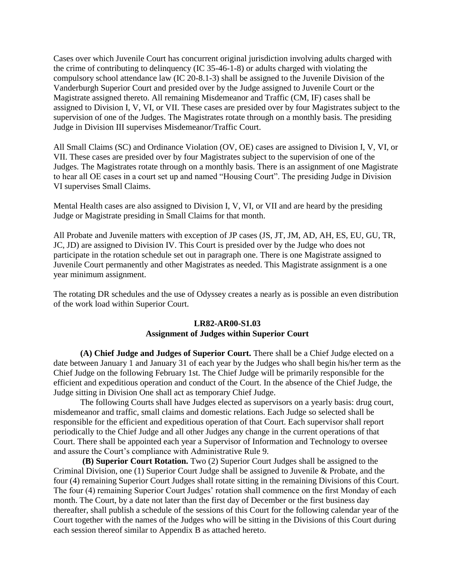Cases over which Juvenile Court has concurrent original jurisdiction involving adults charged with the crime of contributing to delinquency (IC 35-46-1-8) or adults charged with violating the compulsory school attendance law (IC 20-8.1-3) shall be assigned to the Juvenile Division of the Vanderburgh Superior Court and presided over by the Judge assigned to Juvenile Court or the Magistrate assigned thereto. All remaining Misdemeanor and Traffic (CM, IF) cases shall be assigned to Division I, V, VI, or VII. These cases are presided over by four Magistrates subject to the supervision of one of the Judges. The Magistrates rotate through on a monthly basis. The presiding Judge in Division III supervises Misdemeanor/Traffic Court.

All Small Claims (SC) and Ordinance Violation (OV, OE) cases are assigned to Division I, V, VI, or VII. These cases are presided over by four Magistrates subject to the supervision of one of the Judges. The Magistrates rotate through on a monthly basis. There is an assignment of one Magistrate to hear all OE cases in a court set up and named "Housing Court". The presiding Judge in Division VI supervises Small Claims.

Mental Health cases are also assigned to Division I, V, VI, or VII and are heard by the presiding Judge or Magistrate presiding in Small Claims for that month.

All Probate and Juvenile matters with exception of JP cases (JS, JT, JM, AD, AH, ES, EU, GU, TR, JC, JD) are assigned to Division IV. This Court is presided over by the Judge who does not participate in the rotation schedule set out in paragraph one. There is one Magistrate assigned to Juvenile Court permanently and other Magistrates as needed. This Magistrate assignment is a one year minimum assignment.

The rotating DR schedules and the use of Odyssey creates a nearly as is possible an even distribution of the work load within Superior Court.

## **LR82-AR00-S1.03 Assignment of Judges within Superior Court**

**(A) Chief Judge and Judges of Superior Court.** There shall be a Chief Judge elected on a date between January 1 and January 31 of each year by the Judges who shall begin his/her term as the Chief Judge on the following February 1st. The Chief Judge will be primarily responsible for the efficient and expeditious operation and conduct of the Court. In the absence of the Chief Judge, the Judge sitting in Division One shall act as temporary Chief Judge.

The following Courts shall have Judges elected as supervisors on a yearly basis: drug court, misdemeanor and traffic, small claims and domestic relations. Each Judge so selected shall be responsible for the efficient and expeditious operation of that Court. Each supervisor shall report periodically to the Chief Judge and all other Judges any change in the current operations of that Court. There shall be appointed each year a Supervisor of Information and Technology to oversee and assure the Court's compliance with Administrative Rule 9.

**(B) Superior Court Rotation.** Two (2) Superior Court Judges shall be assigned to the Criminal Division, one (1) Superior Court Judge shall be assigned to Juvenile & Probate, and the four (4) remaining Superior Court Judges shall rotate sitting in the remaining Divisions of this Court. The four (4) remaining Superior Court Judges' rotation shall commence on the first Monday of each month. The Court, by a date not later than the first day of December or the first business day thereafter, shall publish a schedule of the sessions of this Court for the following calendar year of the Court together with the names of the Judges who will be sitting in the Divisions of this Court during each session thereof similar to Appendix B as attached hereto.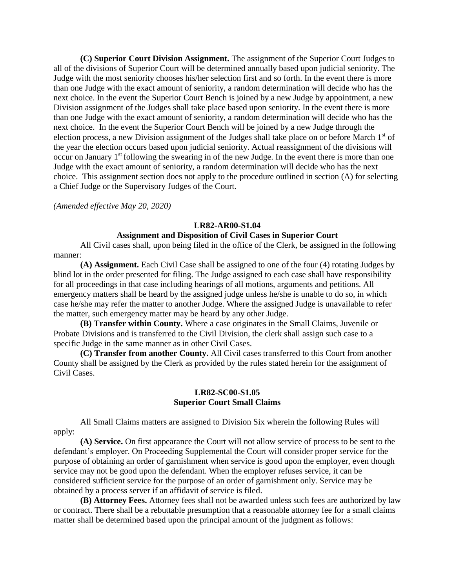**(C) Superior Court Division Assignment.** The assignment of the Superior Court Judges to all of the divisions of Superior Court will be determined annually based upon judicial seniority. The Judge with the most seniority chooses his/her selection first and so forth. In the event there is more than one Judge with the exact amount of seniority, a random determination will decide who has the next choice. In the event the Superior Court Bench is joined by a new Judge by appointment, a new Division assignment of the Judges shall take place based upon seniority. In the event there is more than one Judge with the exact amount of seniority, a random determination will decide who has the next choice. In the event the Superior Court Bench will be joined by a new Judge through the election process, a new Division assignment of the Judges shall take place on or before March 1<sup>st</sup> of the year the election occurs based upon judicial seniority. Actual reassignment of the divisions will occur on January 1<sup>st</sup> following the swearing in of the new Judge. In the event there is more than one Judge with the exact amount of seniority, a random determination will decide who has the next choice. This assignment section does not apply to the procedure outlined in section (A) for selecting a Chief Judge or the Supervisory Judges of the Court.

*(Amended effective May 20, 2020)* 

#### **LR82-AR00-S1.04**

#### **Assignment and Disposition of Civil Cases in Superior Court**

All Civil cases shall, upon being filed in the office of the Clerk, be assigned in the following manner:

**(A) Assignment.** Each Civil Case shall be assigned to one of the four (4) rotating Judges by blind lot in the order presented for filing. The Judge assigned to each case shall have responsibility for all proceedings in that case including hearings of all motions, arguments and petitions. All emergency matters shall be heard by the assigned judge unless he/she is unable to do so, in which case he/she may refer the matter to another Judge. Where the assigned Judge is unavailable to refer the matter, such emergency matter may be heard by any other Judge.

**(B) Transfer within County.** Where a case originates in the Small Claims, Juvenile or Probate Divisions and is transferred to the Civil Division, the clerk shall assign such case to a specific Judge in the same manner as in other Civil Cases.

**(C) Transfer from another County.** All Civil cases transferred to this Court from another County shall be assigned by the Clerk as provided by the rules stated herein for the assignment of Civil Cases.

#### **LR82-SC00-S1.05 Superior Court Small Claims**

All Small Claims matters are assigned to Division Six wherein the following Rules will apply:

**(A) Service.** On first appearance the Court will not allow service of process to be sent to the defendant's employer. On Proceeding Supplemental the Court will consider proper service for the purpose of obtaining an order of garnishment when service is good upon the employer, even though service may not be good upon the defendant. When the employer refuses service, it can be considered sufficient service for the purpose of an order of garnishment only. Service may be obtained by a process server if an affidavit of service is filed.

**(B) Attorney Fees.** Attorney fees shall not be awarded unless such fees are authorized by law or contract. There shall be a rebuttable presumption that a reasonable attorney fee for a small claims matter shall be determined based upon the principal amount of the judgment as follows: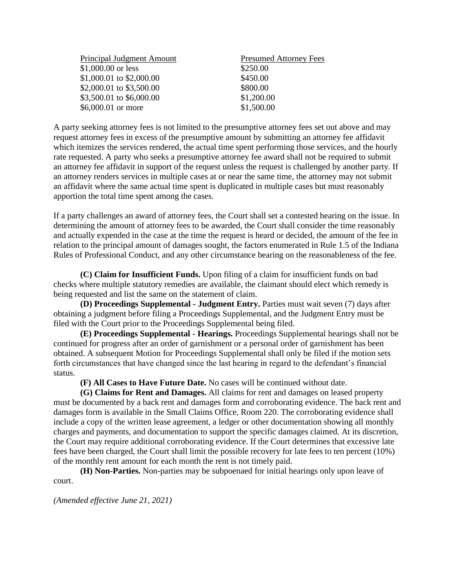| Principal Judgment Amount | <b>Presumed Attorney Fees</b> |
|---------------------------|-------------------------------|
| $$1,000.00$ or less       | \$250.00                      |
| \$1,000.01 to \$2,000.00  | \$450.00                      |
| \$2,000.01 to \$3,500.00  | \$800.00                      |
| \$3,500.01 to \$6,000.00  | \$1,200.00                    |
| \$6,000.01 or more        | \$1,500.00                    |

A party seeking attorney fees is not limited to the presumptive attorney fees set out above and may request attorney fees in excess of the presumptive amount by submitting an attorney fee affidavit which itemizes the services rendered, the actual time spent performing those services, and the hourly rate requested. A party who seeks a presumptive attorney fee award shall not be required to submit an attorney fee affidavit in support of the request unless the request is challenged by another party. If an attorney renders services in multiple cases at or near the same time, the attorney may not submit an affidavit where the same actual time spent is duplicated in multiple cases but must reasonably apportion the total time spent among the cases.

If a party challenges an award of attorney fees, the Court shall set a contested hearing on the issue. In determining the amount of attorney fees to be awarded, the Court shall consider the time reasonably and actually expended in the case at the time the request is heard or decided, the amount of the fee in relation to the principal amount of damages sought, the factors enumerated in Rule 1.5 of the Indiana Rules of Professional Conduct, and any other circumstance bearing on the reasonableness of the fee.

**(C) Claim for Insufficient Funds.** Upon filing of a claim for insufficient funds on bad checks where multiple statutory remedies are available, the claimant should elect which remedy is being requested and list the same on the statement of claim.

**(D) Proceedings Supplemental - Judgment Entry.** Parties must wait seven (7) days after obtaining a judgment before filing a Proceedings Supplemental, and the Judgment Entry must be filed with the Court prior to the Proceedings Supplemental being filed.

**(E) Proceedings Supplemental - Hearings.** Proceedings Supplemental hearings shall not be continued for progress after an order of garnishment or a personal order of garnishment has been obtained. A subsequent Motion for Proceedings Supplemental shall only be filed if the motion sets forth circumstances that have changed since the last hearing in regard to the defendant's financial status.

**(F) All Cases to Have Future Date.** No cases will be continued without date.

**(G) Claims for Rent and Damages.** All claims for rent and damages on leased property must be documented by a back rent and damages form and corroborating evidence. The back rent and damages form is available in the Small Claims Office, Room 220. The corroborating evidence shall include a copy of the written lease agreement, a ledger or other documentation showing all monthly charges and payments, and documentation to support the specific damages claimed. At its discretion, the Court may require additional corroborating evidence. If the Court determines that excessive late fees have been charged, the Court shall limit the possible recovery for late fees to ten percent (10%) of the monthly rent amount for each month the rent is not timely paid.

**(H) Non-Parties.** Non-parties may be subpoenaed for initial hearings only upon leave of court.

*(Amended effective June 21, 2021)*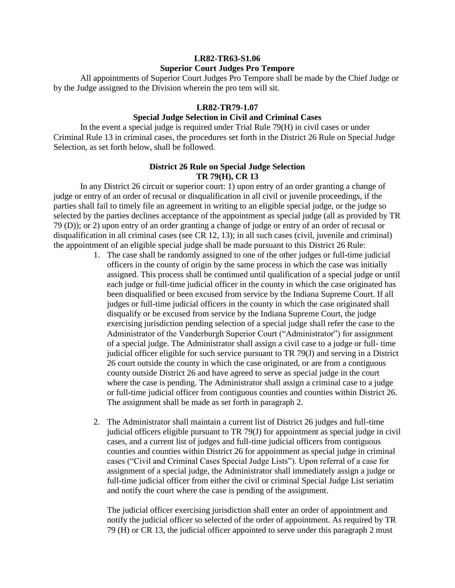# **LR82-TR63-S1.06 Superior Court Judges Pro Tempore**

All appointments of Superior Court Judges Pro Tempore shall be made by the Chief Judge or by the Judge assigned to the Division wherein the pro tem will sit.

#### **LR82-TR79-1.07**

#### **Special Judge Selection in Civil and Criminal Cases**

In the event a special judge is required under Trial Rule 79(H) in civil cases or under Criminal Rule 13 in criminal cases, the procedures set forth in the District 26 Rule on Special Judge Selection, as set forth below, shall be followed.

#### **District 26 Rule on Special Judge Selection TR 79(H), CR 13**

In any District 26 circuit or superior court: 1) upon entry of an order granting a change of judge or entry of an order of recusal or disqualification in all civil or juvenile proceedings, if the parties shall fail to timely file an agreement in writing to an eligible special judge, or the judge so selected by the parties declines acceptance of the appointment as special judge (all as provided by TR 79 (D)); or 2) upon entry of an order granting a change of judge or entry of an order of recusal or disqualification in all criminal cases (see CR 12, 13); in all such cases (civil, juvenile and criminal) the appointment of an eligible special judge shall be made pursuant to this District 26 Rule:

- 1. The case shall be randomly assigned to one of the other judges or full-time judicial officers in the county of origin by the same process in which the case was initially assigned. This process shall be continued until qualification of a special judge or until each judge or full-time judicial officer in the county in which the case originated has been disqualified or been excused from service by the Indiana Supreme Court. If all judges or full-time judicial officers in the county in which the case originated shall disqualify or be excused from service by the Indiana Supreme Court, the judge exercising jurisdiction pending selection of a special judge shall refer the case to the Administrator of the Vanderburgh Superior Court ("Administrator") for assignment of a special judge. The Administrator shall assign a civil case to a judge or full- time judicial officer eligible for such service pursuant to TR 79(J) and serving in a District 26 court outside the county in which the case originated, or are from a contiguous county outside District 26 and have agreed to serve as special judge in the court where the case is pending. The Administrator shall assign a criminal case to a judge or full-time judicial officer from contiguous counties and counties within District 26. The assignment shall be made as set forth in paragraph 2.
- 2. The Administrator shall maintain a current list of District 26 judges and full-time judicial officers eligible pursuant to TR 79(J) for appointment as special judge in civil cases, and a current list of judges and full-time judicial officers from contiguous counties and counties within District 26 for appointment as special judge in criminal cases ("Civil and Criminal Cases Special Judge Lists"). Upon referral of a case for assignment of a special judge, the Administrator shall immediately assign a judge or full-time judicial officer from either the civil or criminal Special Judge List seriatim and notify the court where the case is pending of the assignment.

The judicial officer exercising jurisdiction shall enter an order of appointment and notify the judicial officer so selected of the order of appointment. As required by TR 79 (H) or CR 13, the judicial officer appointed to serve under this paragraph 2 must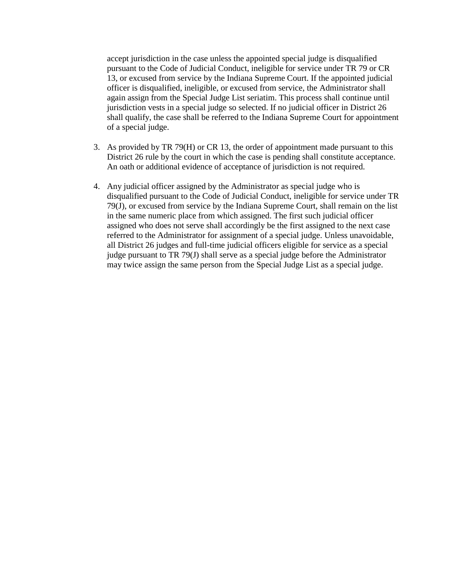accept jurisdiction in the case unless the appointed special judge is disqualified pursuant to the Code of Judicial Conduct, ineligible for service under TR 79 or CR 13, or excused from service by the Indiana Supreme Court. If the appointed judicial officer is disqualified, ineligible, or excused from service, the Administrator shall again assign from the Special Judge List seriatim. This process shall continue until jurisdiction vests in a special judge so selected. If no judicial officer in District 26 shall qualify, the case shall be referred to the Indiana Supreme Court for appointment of a special judge.

- 3. As provided by TR 79(H) or CR 13, the order of appointment made pursuant to this District 26 rule by the court in which the case is pending shall constitute acceptance. An oath or additional evidence of acceptance of jurisdiction is not required.
- 4. Any judicial officer assigned by the Administrator as special judge who is disqualified pursuant to the Code of Judicial Conduct, ineligible for service under TR 79(J), or excused from service by the Indiana Supreme Court, shall remain on the list in the same numeric place from which assigned. The first such judicial officer assigned who does not serve shall accordingly be the first assigned to the next case referred to the Administrator for assignment of a special judge. Unless unavoidable, all District 26 judges and full-time judicial officers eligible for service as a special judge pursuant to TR 79(J) shall serve as a special judge before the Administrator may twice assign the same person from the Special Judge List as a special judge.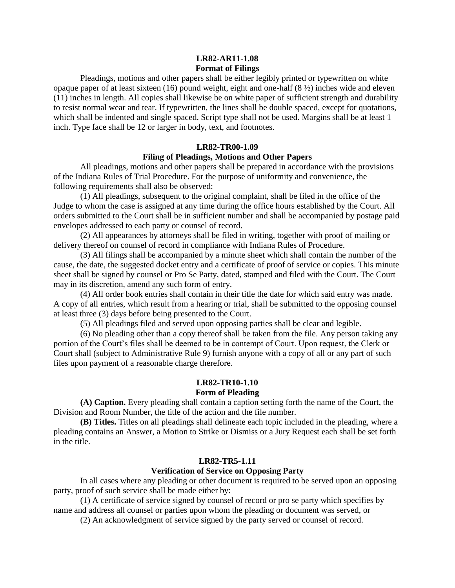## **LR82-AR11-1.08 Format of Filings**

Pleadings, motions and other papers shall be either legibly printed or typewritten on white opaque paper of at least sixteen (16) pound weight, eight and one-half (8 ½) inches wide and eleven (11) inches in length. All copies shall likewise be on white paper of sufficient strength and durability to resist normal wear and tear. If typewritten, the lines shall be double spaced, except for quotations, which shall be indented and single spaced. Script type shall not be used. Margins shall be at least 1 inch. Type face shall be 12 or larger in body, text, and footnotes.

## **LR82-TR00-1.09**

## **Filing of Pleadings, Motions and Other Papers**

All pleadings, motions and other papers shall be prepared in accordance with the provisions of the Indiana Rules of Trial Procedure. For the purpose of uniformity and convenience, the following requirements shall also be observed:

(1) All pleadings, subsequent to the original complaint, shall be filed in the office of the Judge to whom the case is assigned at any time during the office hours established by the Court. All orders submitted to the Court shall be in sufficient number and shall be accompanied by postage paid envelopes addressed to each party or counsel of record.

(2) All appearances by attorneys shall be filed in writing, together with proof of mailing or delivery thereof on counsel of record in compliance with Indiana Rules of Procedure.

(3) All filings shall be accompanied by a minute sheet which shall contain the number of the cause, the date, the suggested docket entry and a certificate of proof of service or copies. This minute sheet shall be signed by counsel or Pro Se Party, dated, stamped and filed with the Court. The Court may in its discretion, amend any such form of entry.

(4) All order book entries shall contain in their title the date for which said entry was made. A copy of all entries, which result from a hearing or trial, shall be submitted to the opposing counsel at least three (3) days before being presented to the Court.

(5) All pleadings filed and served upon opposing parties shall be clear and legible.

(6) No pleading other than a copy thereof shall be taken from the file. Any person taking any portion of the Court's files shall be deemed to be in contempt of Court. Upon request, the Clerk or Court shall (subject to Administrative Rule 9) furnish anyone with a copy of all or any part of such files upon payment of a reasonable charge therefore.

# **LR82-TR10-1.10**

#### **Form of Pleading**

**(A) Caption.** Every pleading shall contain a caption setting forth the name of the Court, the Division and Room Number, the title of the action and the file number.

**(B) Titles.** Titles on all pleadings shall delineate each topic included in the pleading, where a pleading contains an Answer, a Motion to Strike or Dismiss or a Jury Request each shall be set forth in the title.

#### **LR82-TR5-1.11**

#### **Verification of Service on Opposing Party**

In all cases where any pleading or other document is required to be served upon an opposing party, proof of such service shall be made either by:

(1) A certificate of service signed by counsel of record or pro se party which specifies by name and address all counsel or parties upon whom the pleading or document was served, or

(2) An acknowledgment of service signed by the party served or counsel of record.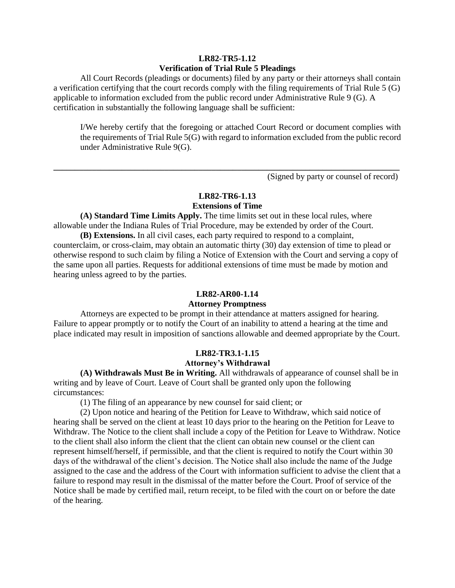# **LR82-TR5-1.12 Verification of Trial Rule 5 Pleadings**

All Court Records (pleadings or documents) filed by any party or their attorneys shall contain a verification certifying that the court records comply with the filing requirements of Trial Rule 5 (G) applicable to information excluded from the public record under Administrative Rule 9 (G). A certification in substantially the following language shall be sufficient:

I/We hereby certify that the foregoing or attached Court Record or document complies with the requirements of Trial Rule 5(G) with regard to information excluded from the public record under Administrative Rule 9(G).

(Signed by party or counsel of record)

# **LR82-TR6-1.13**

**\_\_\_\_\_\_\_\_\_\_\_\_\_\_\_\_\_\_\_\_\_\_\_\_\_\_\_\_\_\_\_\_\_\_\_\_\_\_\_\_\_\_\_\_\_\_\_\_\_\_\_\_\_\_\_\_\_\_\_\_\_\_\_\_\_\_\_\_\_\_\_\_\_\_\_\_\_\_\_\_\_**

#### **Extensions of Time**

**(A) Standard Time Limits Apply.** The time limits set out in these local rules, where allowable under the Indiana Rules of Trial Procedure, may be extended by order of the Court.

**(B) Extensions.** In all civil cases, each party required to respond to a complaint, counterclaim, or cross-claim, may obtain an automatic thirty (30) day extension of time to plead or otherwise respond to such claim by filing a Notice of Extension with the Court and serving a copy of the same upon all parties. Requests for additional extensions of time must be made by motion and hearing unless agreed to by the parties.

# **LR82-AR00-1.14**

#### **Attorney Promptness**

Attorneys are expected to be prompt in their attendance at matters assigned for hearing. Failure to appear promptly or to notify the Court of an inability to attend a hearing at the time and place indicated may result in imposition of sanctions allowable and deemed appropriate by the Court.

# **LR82-TR3.1-1.15**

#### **Attorney's Withdrawal**

**(A) Withdrawals Must Be in Writing.** All withdrawals of appearance of counsel shall be in writing and by leave of Court. Leave of Court shall be granted only upon the following circumstances:

(1) The filing of an appearance by new counsel for said client; or

(2) Upon notice and hearing of the Petition for Leave to Withdraw, which said notice of hearing shall be served on the client at least 10 days prior to the hearing on the Petition for Leave to Withdraw. The Notice to the client shall include a copy of the Petition for Leave to Withdraw. Notice to the client shall also inform the client that the client can obtain new counsel or the client can represent himself/herself, if permissible, and that the client is required to notify the Court within 30 days of the withdrawal of the client's decision. The Notice shall also include the name of the Judge assigned to the case and the address of the Court with information sufficient to advise the client that a failure to respond may result in the dismissal of the matter before the Court. Proof of service of the Notice shall be made by certified mail, return receipt, to be filed with the court on or before the date of the hearing.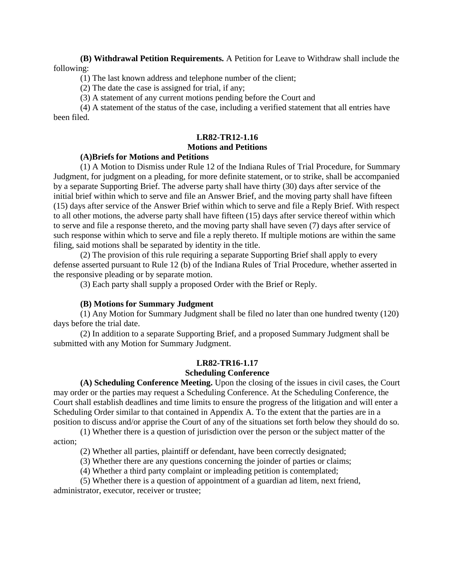**(B) Withdrawal Petition Requirements.** A Petition for Leave to Withdraw shall include the following:

(1) The last known address and telephone number of the client;

(2) The date the case is assigned for trial, if any;

(3) A statement of any current motions pending before the Court and

(4) A statement of the status of the case, including a verified statement that all entries have been filed.

### **LR82-TR12-1.16**

## **Motions and Petitions**

#### **(A)Briefs for Motions and Petitions**

(1) A Motion to Dismiss under Rule 12 of the Indiana Rules of Trial Procedure, for Summary Judgment, for judgment on a pleading, for more definite statement, or to strike, shall be accompanied by a separate Supporting Brief. The adverse party shall have thirty (30) days after service of the initial brief within which to serve and file an Answer Brief, and the moving party shall have fifteen (15) days after service of the Answer Brief within which to serve and file a Reply Brief. With respect to all other motions, the adverse party shall have fifteen (15) days after service thereof within which to serve and file a response thereto, and the moving party shall have seven (7) days after service of such response within which to serve and file a reply thereto. If multiple motions are within the same filing, said motions shall be separated by identity in the title.

(2) The provision of this rule requiring a separate Supporting Brief shall apply to every defense asserted pursuant to Rule 12 (b) of the Indiana Rules of Trial Procedure, whether asserted in the responsive pleading or by separate motion.

(3) Each party shall supply a proposed Order with the Brief or Reply.

#### **(B) Motions for Summary Judgment**

(1) Any Motion for Summary Judgment shall be filed no later than one hundred twenty (120) days before the trial date.

(2) In addition to a separate Supporting Brief, and a proposed Summary Judgment shall be submitted with any Motion for Summary Judgment.

#### **LR82-TR16-1.17 Scheduling Conference**

**(A) Scheduling Conference Meeting.** Upon the closing of the issues in civil cases, the Court may order or the parties may request a Scheduling Conference. At the Scheduling Conference, the Court shall establish deadlines and time limits to ensure the progress of the litigation and will enter a Scheduling Order similar to that contained in Appendix A. To the extent that the parties are in a position to discuss and/or apprise the Court of any of the situations set forth below they should do so.

(1) Whether there is a question of jurisdiction over the person or the subject matter of the action;

(2) Whether all parties, plaintiff or defendant, have been correctly designated;

(3) Whether there are any questions concerning the joinder of parties or claims;

(4) Whether a third party complaint or impleading petition is contemplated;

(5) Whether there is a question of appointment of a guardian ad litem, next friend, administrator, executor, receiver or trustee;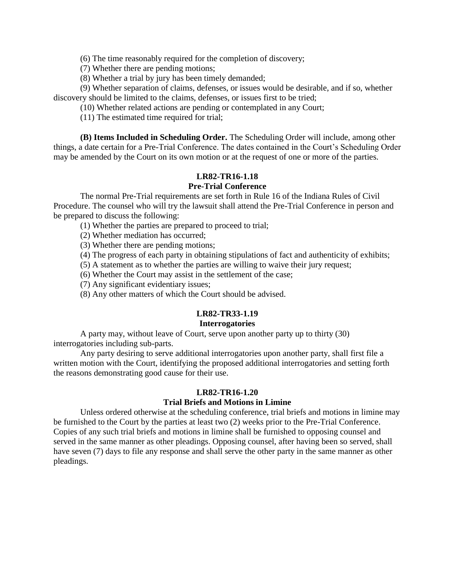(6) The time reasonably required for the completion of discovery;

(7) Whether there are pending motions;

(8) Whether a trial by jury has been timely demanded;

(9) Whether separation of claims, defenses, or issues would be desirable, and if so, whether discovery should be limited to the claims, defenses, or issues first to be tried;

(10) Whether related actions are pending or contemplated in any Court;

(11) The estimated time required for trial;

**(B) Items Included in Scheduling Order.** The Scheduling Order will include, among other things, a date certain for a Pre-Trial Conference. The dates contained in the Court's Scheduling Order may be amended by the Court on its own motion or at the request of one or more of the parties.

#### **LR82-TR16-1.18**

## **Pre-Trial Conference**

The normal Pre-Trial requirements are set forth in Rule 16 of the Indiana Rules of Civil Procedure. The counsel who will try the lawsuit shall attend the Pre-Trial Conference in person and be prepared to discuss the following:

(1) Whether the parties are prepared to proceed to trial;

(2) Whether mediation has occurred;

(3) Whether there are pending motions;

(4) The progress of each party in obtaining stipulations of fact and authenticity of exhibits;

(5) A statement as to whether the parties are willing to waive their jury request;

(6) Whether the Court may assist in the settlement of the case;

(7) Any significant evidentiary issues;

(8) Any other matters of which the Court should be advised.

#### **LR82-TR33-1.19 Interrogatories**

A party may, without leave of Court, serve upon another party up to thirty (30) interrogatories including sub-parts.

Any party desiring to serve additional interrogatories upon another party, shall first file a written motion with the Court, identifying the proposed additional interrogatories and setting forth the reasons demonstrating good cause for their use.

#### **LR82-TR16-1.20**

### **Trial Briefs and Motions in Limine**

Unless ordered otherwise at the scheduling conference, trial briefs and motions in limine may be furnished to the Court by the parties at least two (2) weeks prior to the Pre-Trial Conference. Copies of any such trial briefs and motions in limine shall be furnished to opposing counsel and served in the same manner as other pleadings. Opposing counsel, after having been so served, shall have seven (7) days to file any response and shall serve the other party in the same manner as other pleadings.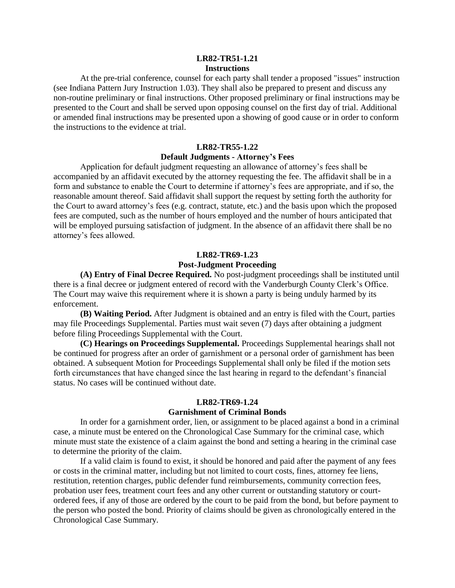#### **LR82-TR51-1.21 Instructions**

At the pre-trial conference, counsel for each party shall tender a proposed "issues" instruction (see Indiana Pattern Jury Instruction 1.03). They shall also be prepared to present and discuss any non-routine preliminary or final instructions. Other proposed preliminary or final instructions may be presented to the Court and shall be served upon opposing counsel on the first day of trial. Additional or amended final instructions may be presented upon a showing of good cause or in order to conform the instructions to the evidence at trial.

#### **LR82-TR55-1.22**

## **Default Judgments - Attorney's Fees**

Application for default judgment requesting an allowance of attorney's fees shall be accompanied by an affidavit executed by the attorney requesting the fee. The affidavit shall be in a form and substance to enable the Court to determine if attorney's fees are appropriate, and if so, the reasonable amount thereof. Said affidavit shall support the request by setting forth the authority for the Court to award attorney's fees (e.g. contract, statute, etc.) and the basis upon which the proposed fees are computed, such as the number of hours employed and the number of hours anticipated that will be employed pursuing satisfaction of judgment. In the absence of an affidavit there shall be no attorney's fees allowed.

#### **LR82-TR69-1.23**

### **Post-Judgment Proceeding**

**(A) Entry of Final Decree Required.** No post-judgment proceedings shall be instituted until there is a final decree or judgment entered of record with the Vanderburgh County Clerk's Office. The Court may waive this requirement where it is shown a party is being unduly harmed by its enforcement.

**(B) Waiting Period.** After Judgment is obtained and an entry is filed with the Court, parties may file Proceedings Supplemental. Parties must wait seven (7) days after obtaining a judgment before filing Proceedings Supplemental with the Court.

**(C) Hearings on Proceedings Supplemental.** Proceedings Supplemental hearings shall not be continued for progress after an order of garnishment or a personal order of garnishment has been obtained. A subsequent Motion for Proceedings Supplemental shall only be filed if the motion sets forth circumstances that have changed since the last hearing in regard to the defendant's financial status. No cases will be continued without date.

#### **LR82-TR69-1.24**

#### **Garnishment of Criminal Bonds**

In order for a garnishment order, lien, or assignment to be placed against a bond in a criminal case, a minute must be entered on the Chronological Case Summary for the criminal case, which minute must state the existence of a claim against the bond and setting a hearing in the criminal case to determine the priority of the claim.

If a valid claim is found to exist, it should be honored and paid after the payment of any fees or costs in the criminal matter, including but not limited to court costs, fines, attorney fee liens, restitution, retention charges, public defender fund reimbursements, community correction fees, probation user fees, treatment court fees and any other current or outstanding statutory or courtordered fees, if any of those are ordered by the court to be paid from the bond, but before payment to the person who posted the bond. Priority of claims should be given as chronologically entered in the Chronological Case Summary.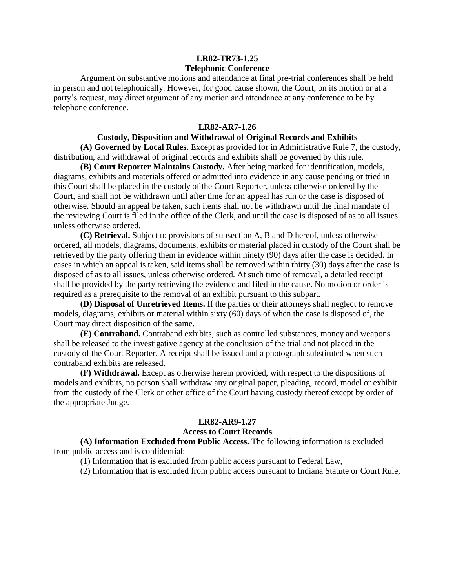# **LR82-TR73-1.25 Telephonic Conference**

Argument on substantive motions and attendance at final pre-trial conferences shall be held in person and not telephonically. However, for good cause shown, the Court, on its motion or at a party's request, may direct argument of any motion and attendance at any conference to be by telephone conference.

### **LR82-AR7-1.26**

## **Custody, Disposition and Withdrawal of Original Records and Exhibits**

**(A) Governed by Local Rules.** Except as provided for in Administrative Rule 7, the custody, distribution, and withdrawal of original records and exhibits shall be governed by this rule.

**(B) Court Reporter Maintains Custody.** After being marked for identification, models, diagrams, exhibits and materials offered or admitted into evidence in any cause pending or tried in this Court shall be placed in the custody of the Court Reporter, unless otherwise ordered by the Court, and shall not be withdrawn until after time for an appeal has run or the case is disposed of otherwise. Should an appeal be taken, such items shall not be withdrawn until the final mandate of the reviewing Court is filed in the office of the Clerk, and until the case is disposed of as to all issues unless otherwise ordered.

**(C) Retrieval.** Subject to provisions of subsection A, B and D hereof, unless otherwise ordered, all models, diagrams, documents, exhibits or material placed in custody of the Court shall be retrieved by the party offering them in evidence within ninety (90) days after the case is decided. In cases in which an appeal is taken, said items shall be removed within thirty (30) days after the case is disposed of as to all issues, unless otherwise ordered. At such time of removal, a detailed receipt shall be provided by the party retrieving the evidence and filed in the cause. No motion or order is required as a prerequisite to the removal of an exhibit pursuant to this subpart.

**(D) Disposal of Unretrieved Items.** If the parties or their attorneys shall neglect to remove models, diagrams, exhibits or material within sixty (60) days of when the case is disposed of, the Court may direct disposition of the same.

**(E) Contraband.** Contraband exhibits, such as controlled substances, money and weapons shall be released to the investigative agency at the conclusion of the trial and not placed in the custody of the Court Reporter. A receipt shall be issued and a photograph substituted when such contraband exhibits are released.

**(F) Withdrawal.** Except as otherwise herein provided, with respect to the dispositions of models and exhibits, no person shall withdraw any original paper, pleading, record, model or exhibit from the custody of the Clerk or other office of the Court having custody thereof except by order of the appropriate Judge.

# **LR82-AR9-1.27**

#### **Access to Court Records**

**(A) Information Excluded from Public Access.** The following information is excluded from public access and is confidential:

(1) Information that is excluded from public access pursuant to Federal Law,

(2) Information that is excluded from public access pursuant to Indiana Statute or Court Rule,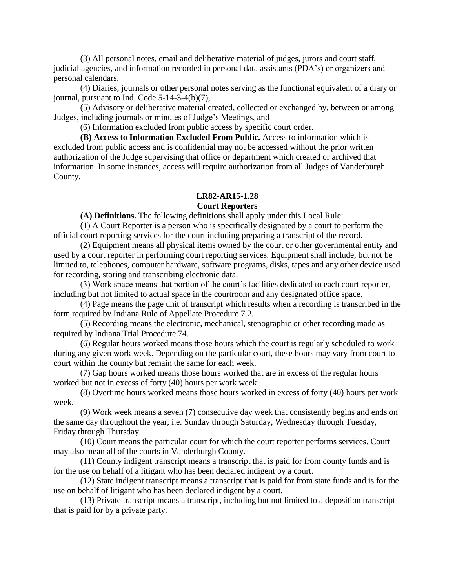(3) All personal notes, email and deliberative material of judges, jurors and court staff, judicial agencies, and information recorded in personal data assistants (PDA's) or organizers and personal calendars,

(4) Diaries, journals or other personal notes serving as the functional equivalent of a diary or journal, pursuant to Ind. Code 5-14-3-4(b)(7),

(5) Advisory or deliberative material created, collected or exchanged by, between or among Judges, including journals or minutes of Judge's Meetings, and

(6) Information excluded from public access by specific court order.

**(B) Access to Information Excluded From Public.** Access to information which is excluded from public access and is confidential may not be accessed without the prior written authorization of the Judge supervising that office or department which created or archived that information. In some instances, access will require authorization from all Judges of Vanderburgh County.

# **LR82-AR15-1.28**

# **Court Reporters**

**(A) Definitions.** The following definitions shall apply under this Local Rule:

(1) A Court Reporter is a person who is specifically designated by a court to perform the official court reporting services for the court including preparing a transcript of the record.

(2) Equipment means all physical items owned by the court or other governmental entity and used by a court reporter in performing court reporting services. Equipment shall include, but not be limited to, telephones, computer hardware, software programs, disks, tapes and any other device used for recording, storing and transcribing electronic data.

(3) Work space means that portion of the court's facilities dedicated to each court reporter, including but not limited to actual space in the courtroom and any designated office space.

(4) Page means the page unit of transcript which results when a recording is transcribed in the form required by Indiana Rule of Appellate Procedure 7.2.

(5) Recording means the electronic, mechanical, stenographic or other recording made as required by Indiana Trial Procedure 74.

(6) Regular hours worked means those hours which the court is regularly scheduled to work during any given work week. Depending on the particular court, these hours may vary from court to court within the county but remain the same for each week.

(7) Gap hours worked means those hours worked that are in excess of the regular hours worked but not in excess of forty (40) hours per work week.

(8) Overtime hours worked means those hours worked in excess of forty (40) hours per work week.

(9) Work week means a seven (7) consecutive day week that consistently begins and ends on the same day throughout the year; i.e. Sunday through Saturday, Wednesday through Tuesday, Friday through Thursday.

(10) Court means the particular court for which the court reporter performs services. Court may also mean all of the courts in Vanderburgh County.

(11) County indigent transcript means a transcript that is paid for from county funds and is for the use on behalf of a litigant who has been declared indigent by a court.

(12) State indigent transcript means a transcript that is paid for from state funds and is for the use on behalf of litigant who has been declared indigent by a court.

(13) Private transcript means a transcript, including but not limited to a deposition transcript that is paid for by a private party.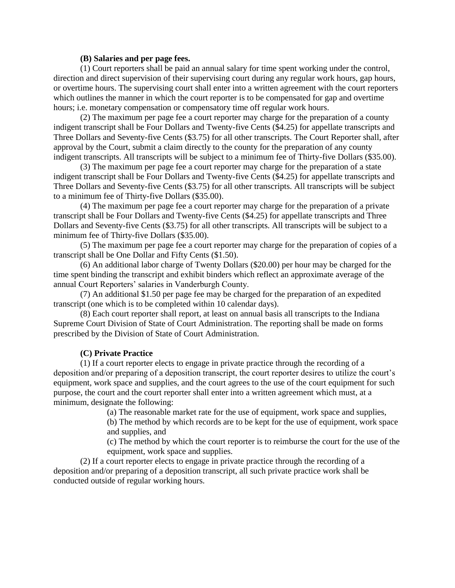#### **(B) Salaries and per page fees.**

(1) Court reporters shall be paid an annual salary for time spent working under the control, direction and direct supervision of their supervising court during any regular work hours, gap hours, or overtime hours. The supervising court shall enter into a written agreement with the court reporters which outlines the manner in which the court reporter is to be compensated for gap and overtime hours; i.e. monetary compensation or compensatory time off regular work hours.

(2) The maximum per page fee a court reporter may charge for the preparation of a county indigent transcript shall be Four Dollars and Twenty-five Cents (\$4.25) for appellate transcripts and Three Dollars and Seventy-five Cents (\$3.75) for all other transcripts. The Court Reporter shall, after approval by the Court, submit a claim directly to the county for the preparation of any county indigent transcripts. All transcripts will be subject to a minimum fee of Thirty-five Dollars (\$35.00).

(3) The maximum per page fee a court reporter may charge for the preparation of a state indigent transcript shall be Four Dollars and Twenty-five Cents (\$4.25) for appellate transcripts and Three Dollars and Seventy-five Cents (\$3.75) for all other transcripts. All transcripts will be subject to a minimum fee of Thirty-five Dollars (\$35.00).

(4) The maximum per page fee a court reporter may charge for the preparation of a private transcript shall be Four Dollars and Twenty-five Cents (\$4.25) for appellate transcripts and Three Dollars and Seventy-five Cents (\$3.75) for all other transcripts. All transcripts will be subject to a minimum fee of Thirty-five Dollars (\$35.00).

(5) The maximum per page fee a court reporter may charge for the preparation of copies of a transcript shall be One Dollar and Fifty Cents (\$1.50).

(6) An additional labor charge of Twenty Dollars (\$20.00) per hour may be charged for the time spent binding the transcript and exhibit binders which reflect an approximate average of the annual Court Reporters' salaries in Vanderburgh County.

(7) An additional \$1.50 per page fee may be charged for the preparation of an expedited transcript (one which is to be completed within 10 calendar days).

(8) Each court reporter shall report, at least on annual basis all transcripts to the Indiana Supreme Court Division of State of Court Administration. The reporting shall be made on forms prescribed by the Division of State of Court Administration.

#### **(C) Private Practice**

(1) If a court reporter elects to engage in private practice through the recording of a deposition and/or preparing of a deposition transcript, the court reporter desires to utilize the court's equipment, work space and supplies, and the court agrees to the use of the court equipment for such purpose, the court and the court reporter shall enter into a written agreement which must, at a minimum, designate the following:

(a) The reasonable market rate for the use of equipment, work space and supplies,

(b) The method by which records are to be kept for the use of equipment, work space and supplies, and

(c) The method by which the court reporter is to reimburse the court for the use of the equipment, work space and supplies.

(2) If a court reporter elects to engage in private practice through the recording of a deposition and/or preparing of a deposition transcript, all such private practice work shall be conducted outside of regular working hours.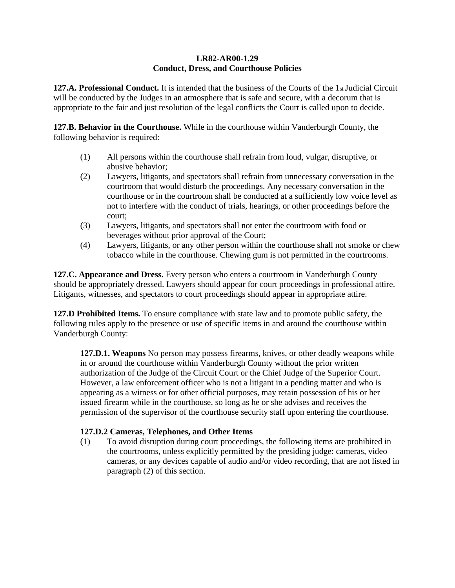# **LR82-AR00-1.29 Conduct, Dress, and Courthouse Policies**

**127.A. Professional Conduct.** It is intended that the business of the Courts of the 1st Judicial Circuit will be conducted by the Judges in an atmosphere that is safe and secure, with a decorum that is appropriate to the fair and just resolution of the legal conflicts the Court is called upon to decide.

**127.B. Behavior in the Courthouse.** While in the courthouse within Vanderburgh County, the following behavior is required:

- (1) All persons within the courthouse shall refrain from loud, vulgar, disruptive, or abusive behavior;
- (2) Lawyers, litigants, and spectators shall refrain from unnecessary conversation in the courtroom that would disturb the proceedings. Any necessary conversation in the courthouse or in the courtroom shall be conducted at a sufficiently low voice level as not to interfere with the conduct of trials, hearings, or other proceedings before the court;
- (3) Lawyers, litigants, and spectators shall not enter the courtroom with food or beverages without prior approval of the Court;
- (4) Lawyers, litigants, or any other person within the courthouse shall not smoke or chew tobacco while in the courthouse. Chewing gum is not permitted in the courtrooms.

**127.C. Appearance and Dress.** Every person who enters a courtroom in Vanderburgh County should be appropriately dressed. Lawyers should appear for court proceedings in professional attire. Litigants, witnesses, and spectators to court proceedings should appear in appropriate attire.

**127.D Prohibited Items.** To ensure compliance with state law and to promote public safety, the following rules apply to the presence or use of specific items in and around the courthouse within Vanderburgh County:

**127.D.1. Weapons** No person may possess firearms, knives, or other deadly weapons while in or around the courthouse within Vanderburgh County without the prior written authorization of the Judge of the Circuit Court or the Chief Judge of the Superior Court. However, a law enforcement officer who is not a litigant in a pending matter and who is appearing as a witness or for other official purposes, may retain possession of his or her issued firearm while in the courthouse, so long as he or she advises and receives the permission of the supervisor of the courthouse security staff upon entering the courthouse.

# **127.D.2 Cameras, Telephones, and Other Items**

(1) To avoid disruption during court proceedings, the following items are prohibited in the courtrooms, unless explicitly permitted by the presiding judge: cameras, video cameras, or any devices capable of audio and/or video recording, that are not listed in paragraph (2) of this section.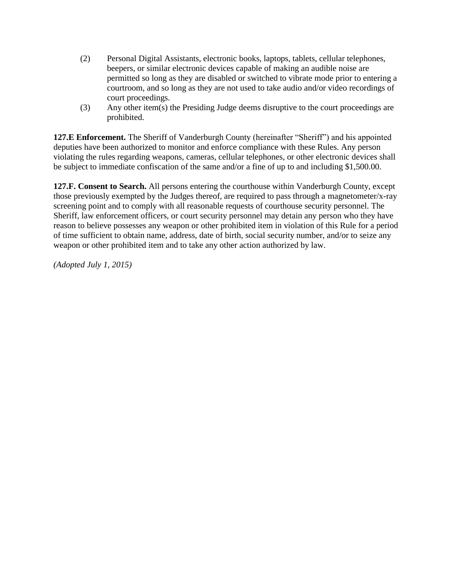- (2) Personal Digital Assistants, electronic books, laptops, tablets, cellular telephones, beepers, or similar electronic devices capable of making an audible noise are permitted so long as they are disabled or switched to vibrate mode prior to entering a courtroom, and so long as they are not used to take audio and/or video recordings of court proceedings.
- (3) Any other item(s) the Presiding Judge deems disruptive to the court proceedings are prohibited.

**127.E Enforcement.** The Sheriff of Vanderburgh County (hereinafter "Sheriff") and his appointed deputies have been authorized to monitor and enforce compliance with these Rules. Any person violating the rules regarding weapons, cameras, cellular telephones, or other electronic devices shall be subject to immediate confiscation of the same and/or a fine of up to and including \$1,500.00.

**127.F. Consent to Search.** All persons entering the courthouse within Vanderburgh County, except those previously exempted by the Judges thereof, are required to pass through a magnetometer/x-ray screening point and to comply with all reasonable requests of courthouse security personnel. The Sheriff, law enforcement officers, or court security personnel may detain any person who they have reason to believe possesses any weapon or other prohibited item in violation of this Rule for a period of time sufficient to obtain name, address, date of birth, social security number, and/or to seize any weapon or other prohibited item and to take any other action authorized by law.

*(Adopted July 1, 2015)*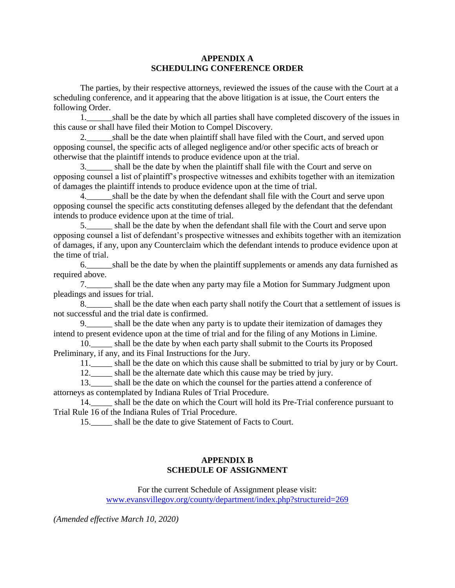## **APPENDIX A SCHEDULING CONFERENCE ORDER**

The parties, by their respective attorneys, reviewed the issues of the cause with the Court at a scheduling conference, and it appearing that the above litigation is at issue, the Court enters the following Order.

1.\_\_\_\_\_\_shall be the date by which all parties shall have completed discovery of the issues in this cause or shall have filed their Motion to Compel Discovery.

shall be the date when plaintiff shall have filed with the Court, and served upon opposing counsel, the specific acts of alleged negligence and/or other specific acts of breach or otherwise that the plaintiff intends to produce evidence upon at the trial.

3.\_\_\_\_\_\_ shall be the date by when the plaintiff shall file with the Court and serve on opposing counsel a list of plaintiff's prospective witnesses and exhibits together with an itemization of damages the plaintiff intends to produce evidence upon at the time of trial.

4.\_\_\_\_\_\_shall be the date by when the defendant shall file with the Court and serve upon opposing counsel the specific acts constituting defenses alleged by the defendant that the defendant intends to produce evidence upon at the time of trial.

5.\_\_\_\_\_\_ shall be the date by when the defendant shall file with the Court and serve upon opposing counsel a list of defendant's prospective witnesses and exhibits together with an itemization of damages, if any, upon any Counterclaim which the defendant intends to produce evidence upon at the time of trial.

6.\_\_\_\_\_\_shall be the date by when the plaintiff supplements or amends any data furnished as required above.

7.\_\_\_\_\_\_ shall be the date when any party may file a Motion for Summary Judgment upon pleadings and issues for trial.

8. Shall be the date when each party shall notify the Court that a settlement of issues is not successful and the trial date is confirmed.

9.\_\_\_\_\_\_ shall be the date when any party is to update their itemization of damages they intend to present evidence upon at the time of trial and for the filing of any Motions in Limine.

10.\_\_\_\_\_ shall be the date by when each party shall submit to the Courts its Proposed Preliminary, if any, and its Final Instructions for the Jury.

11. Shall be the date on which this cause shall be submitted to trial by jury or by Court.

12. Shall be the alternate date which this cause may be tried by jury.

13.\_\_\_\_\_ shall be the date on which the counsel for the parties attend a conference of attorneys as contemplated by Indiana Rules of Trial Procedure.

14. Shall be the date on which the Court will hold its Pre-Trial conference pursuant to Trial Rule 16 of the Indiana Rules of Trial Procedure.

15.\_\_\_\_\_ shall be the date to give Statement of Facts to Court.

# **APPENDIX B SCHEDULE OF ASSIGNMENT**

For the current Schedule of Assignment please visit: [www.evansvillegov.org/county/department/index.php?structureid=269](http://www.evansvillegov.org/county/department/index.php?structureid=269)

*(Amended effective March 10, 2020)*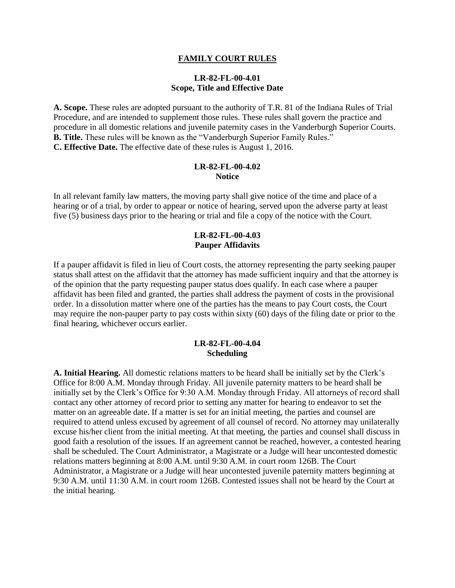#### **FAMILY COURT RULES**

## **LR-82-FL-00-4.01 Scope, Title and Effective Date**

**A. Scope.** These rules are adopted pursuant to the authority of T.R. 81 of the Indiana Rules of Trial Procedure, and are intended to supplement those rules. These rules shall govern the practice and procedure in all domestic relations and juvenile paternity cases in the Vanderburgh Superior Courts. **B. Title.** These rules will be known as the "Vanderburgh Superior Family Rules." **C. Effective Date.** The effective date of these rules is August 1, 2016.

#### **LR-82-FL-00-4.02 Notice**

In all relevant family law matters, the moving party shall give notice of the time and place of a hearing or of a trial, by order to appear or notice of hearing, served upon the adverse party at least five (5) business days prior to the hearing or trial and file a copy of the notice with the Court.

#### **LR-82-FL-00-4.03 Pauper Affidavits**

If a pauper affidavit is filed in lieu of Court costs, the attorney representing the party seeking pauper status shall attest on the affidavit that the attorney has made sufficient inquiry and that the attorney is of the opinion that the party requesting pauper status does qualify. In each case where a pauper affidavit has been filed and granted, the parties shall address the payment of costs in the provisional order. In a dissolution matter where one of the parties has the means to pay Court costs, the Court may require the non-pauper party to pay costs within sixty (60) days of the filing date or prior to the final hearing, whichever occurs earlier.

#### **LR-82-FL-00-4.04 Scheduling**

**A. Initial Hearing.** All domestic relations matters to be heard shall be initially set by the Clerk's Office for 8:00 A.M. Monday through Friday. All juvenile paternity matters to be heard shall be initially set by the Clerk's Office for 9:30 A.M. Monday through Friday. All attorneys of record shall contact any other attorney of record prior to setting any matter for hearing to endeavor to set the matter on an agreeable date. If a matter is set for an initial meeting, the parties and counsel are required to attend unless excused by agreement of all counsel of record. No attorney may unilaterally excuse his/her client from the initial meeting. At that meeting, the parties and counsel shall discuss in good faith a resolution of the issues. If an agreement cannot be reached, however, a contested hearing shall be scheduled. The Court Administrator, a Magistrate or a Judge will hear uncontested domestic relations matters beginning at 8:00 A.M. until 9:30 A.M. in court room 126B. The Court Administrator, a Magistrate or a Judge will hear uncontested juvenile paternity matters beginning at 9:30 A.M. until 11:30 A.M. in court room 126B. Contested issues shall not be heard by the Court at the initial hearing.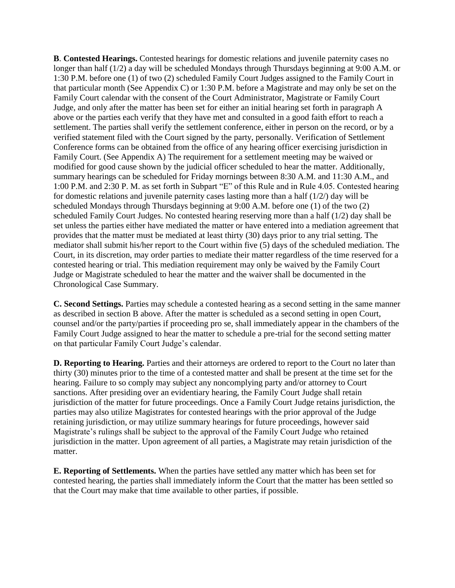**B**. **Contested Hearings.** Contested hearings for domestic relations and juvenile paternity cases no longer than half (1/2) a day will be scheduled Mondays through Thursdays beginning at 9:00 A.M. or 1:30 P.M. before one (1) of two (2) scheduled Family Court Judges assigned to the Family Court in that particular month (See Appendix C) or 1:30 P.M. before a Magistrate and may only be set on the Family Court calendar with the consent of the Court Administrator, Magistrate or Family Court Judge, and only after the matter has been set for either an initial hearing set forth in paragraph A above or the parties each verify that they have met and consulted in a good faith effort to reach a settlement. The parties shall verify the settlement conference, either in person on the record, or by a verified statement filed with the Court signed by the party, personally. Verification of Settlement Conference forms can be obtained from the office of any hearing officer exercising jurisdiction in Family Court. (See Appendix A) The requirement for a settlement meeting may be waived or modified for good cause shown by the judicial officer scheduled to hear the matter. Additionally, summary hearings can be scheduled for Friday mornings between 8:30 A.M. and 11:30 A.M., and 1:00 P.M. and 2:30 P. M. as set forth in Subpart "E" of this Rule and in Rule 4.05. Contested hearing for domestic relations and juvenile paternity cases lasting more than a half (1/2/) day will be scheduled Mondays through Thursdays beginning at 9:00 A.M. before one (1) of the two (2) scheduled Family Court Judges. No contested hearing reserving more than a half (1/2) day shall be set unless the parties either have mediated the matter or have entered into a mediation agreement that provides that the matter must be mediated at least thirty (30) days prior to any trial setting. The mediator shall submit his/her report to the Court within five (5) days of the scheduled mediation. The Court, in its discretion, may order parties to mediate their matter regardless of the time reserved for a contested hearing or trial. This mediation requirement may only be waived by the Family Court Judge or Magistrate scheduled to hear the matter and the waiver shall be documented in the Chronological Case Summary.

**C. Second Settings.** Parties may schedule a contested hearing as a second setting in the same manner as described in section B above. After the matter is scheduled as a second setting in open Court, counsel and/or the party/parties if proceeding pro se, shall immediately appear in the chambers of the Family Court Judge assigned to hear the matter to schedule a pre-trial for the second setting matter on that particular Family Court Judge's calendar.

**D. Reporting to Hearing.** Parties and their attorneys are ordered to report to the Court no later than thirty (30) minutes prior to the time of a contested matter and shall be present at the time set for the hearing. Failure to so comply may subject any noncomplying party and/or attorney to Court sanctions. After presiding over an evidentiary hearing, the Family Court Judge shall retain jurisdiction of the matter for future proceedings. Once a Family Court Judge retains jurisdiction, the parties may also utilize Magistrates for contested hearings with the prior approval of the Judge retaining jurisdiction, or may utilize summary hearings for future proceedings, however said Magistrate's rulings shall be subject to the approval of the Family Court Judge who retained jurisdiction in the matter. Upon agreement of all parties, a Magistrate may retain jurisdiction of the matter.

**E. Reporting of Settlements.** When the parties have settled any matter which has been set for contested hearing, the parties shall immediately inform the Court that the matter has been settled so that the Court may make that time available to other parties, if possible.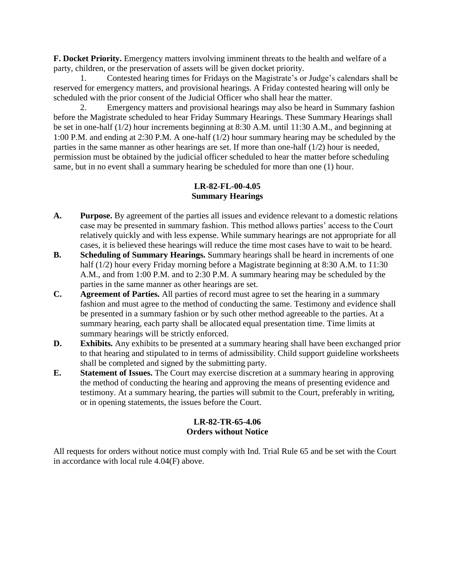**F. Docket Priority.** Emergency matters involving imminent threats to the health and welfare of a party, children, or the preservation of assets will be given docket priority.

1. Contested hearing times for Fridays on the Magistrate's or Judge's calendars shall be reserved for emergency matters, and provisional hearings. A Friday contested hearing will only be scheduled with the prior consent of the Judicial Officer who shall hear the matter.

2. Emergency matters and provisional hearings may also be heard in Summary fashion before the Magistrate scheduled to hear Friday Summary Hearings. These Summary Hearings shall be set in one-half (1/2) hour increments beginning at 8:30 A.M. until 11:30 A.M., and beginning at 1:00 P.M. and ending at 2:30 P.M. A one-half (1/2) hour summary hearing may be scheduled by the parties in the same manner as other hearings are set. If more than one-half (1/2) hour is needed, permission must be obtained by the judicial officer scheduled to hear the matter before scheduling same, but in no event shall a summary hearing be scheduled for more than one (1) hour.

## **LR-82-FL-00-4.05 Summary Hearings**

- **A. Purpose.** By agreement of the parties all issues and evidence relevant to a domestic relations case may be presented in summary fashion. This method allows parties' access to the Court relatively quickly and with less expense. While summary hearings are not appropriate for all cases, it is believed these hearings will reduce the time most cases have to wait to be heard.
- **B. Scheduling of Summary Hearings.** Summary hearings shall be heard in increments of one half (1/2) hour every Friday morning before a Magistrate beginning at 8:30 A.M. to 11:30 A.M., and from 1:00 P.M. and to 2:30 P.M. A summary hearing may be scheduled by the parties in the same manner as other hearings are set.
- **C. Agreement of Parties.** All parties of record must agree to set the hearing in a summary fashion and must agree to the method of conducting the same. Testimony and evidence shall be presented in a summary fashion or by such other method agreeable to the parties. At a summary hearing, each party shall be allocated equal presentation time. Time limits at summary hearings will be strictly enforced.
- **D.** Exhibits. Any exhibits to be presented at a summary hearing shall have been exchanged prior to that hearing and stipulated to in terms of admissibility. Child support guideline worksheets shall be completed and signed by the submitting party.
- **E.** Statement of Issues. The Court may exercise discretion at a summary hearing in approving the method of conducting the hearing and approving the means of presenting evidence and testimony. At a summary hearing, the parties will submit to the Court, preferably in writing, or in opening statements, the issues before the Court.

# **LR-82-TR-65-4.06 Orders without Notice**

All requests for orders without notice must comply with Ind. Trial Rule 65 and be set with the Court in accordance with local rule 4.04(F) above.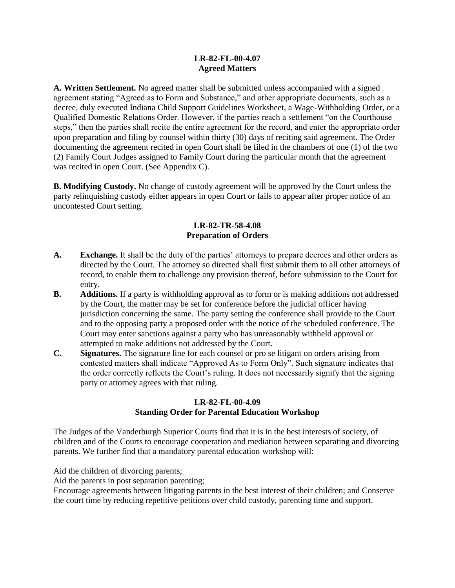# **LR-82-FL-00-4.07 Agreed Matters**

**A. Written Settlement.** No agreed matter shall be submitted unless accompanied with a signed agreement stating "Agreed as to Form and Substance," and other appropriate documents, such as a decree, duly executed Indiana Child Support Guidelines Worksheet, a Wage-Withholding Order, or a Qualified Domestic Relations Order. However, if the parties reach a settlement "on the Courthouse steps," then the parties shall recite the entire agreement for the record, and enter the appropriate order upon preparation and filing by counsel within thirty (30) days of reciting said agreement. The Order documenting the agreement recited in open Court shall be filed in the chambers of one (1) of the two (2) Family Court Judges assigned to Family Court during the particular month that the agreement was recited in open Court. (See Appendix C).

**B. Modifying Custody.** No change of custody agreement will be approved by the Court unless the party relinquishing custody either appears in open Court or fails to appear after proper notice of an uncontested Court setting.

# **LR-82-TR-58-4.08 Preparation of Orders**

- **A. Exchange.** It shall be the duty of the parties' attorneys to prepare decrees and other orders as directed by the Court. The attorney so directed shall first submit them to all other attorneys of record, to enable them to challenge any provision thereof, before submission to the Court for entry.
- **B.** Additions. If a party is withholding approval as to form or is making additions not addressed by the Court, the matter may be set for conference before the judicial officer having jurisdiction concerning the same. The party setting the conference shall provide to the Court and to the opposing party a proposed order with the notice of the scheduled conference. The Court may enter sanctions against a party who has unreasonably withheld approval or attempted to make additions not addressed by the Court.
- **C. Signatures.** The signature line for each counsel or pro se litigant on orders arising from contested matters shall indicate "Approved As to Form Only". Such signature indicates that the order correctly reflects the Court's ruling. It does not necessarily signify that the signing party or attorney agrees with that ruling.

# **LR-82-FL-00-4.09 Standing Order for Parental Education Workshop**

The Judges of the Vanderburgh Superior Courts find that it is in the best interests of society, of children and of the Courts to encourage cooperation and mediation between separating and divorcing parents. We further find that a mandatory parental education workshop will:

Aid the children of divorcing parents;

Aid the parents in post separation parenting;

Encourage agreements between litigating parents in the best interest of their children; and Conserve the court time by reducing repetitive petitions over child custody, parenting time and support.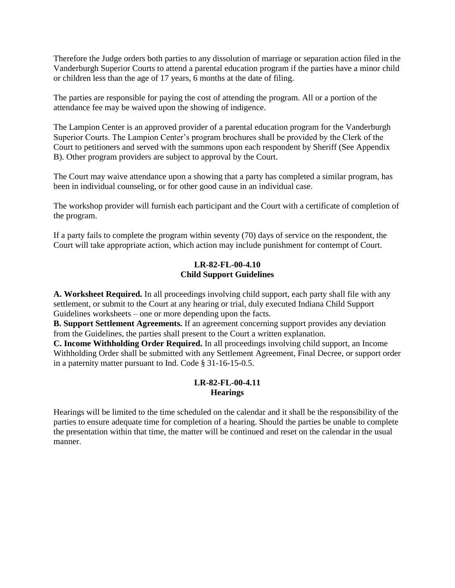Therefore the Judge orders both parties to any dissolution of marriage or separation action filed in the Vanderburgh Superior Courts to attend a parental education program if the parties have a minor child or children less than the age of 17 years, 6 months at the date of filing.

The parties are responsible for paying the cost of attending the program. All or a portion of the attendance fee may be waived upon the showing of indigence.

The Lampion Center is an approved provider of a parental education program for the Vanderburgh Superior Courts. The Lampion Center's program brochures shall be provided by the Clerk of the Court to petitioners and served with the summons upon each respondent by Sheriff (See Appendix B). Other program providers are subject to approval by the Court.

The Court may waive attendance upon a showing that a party has completed a similar program, has been in individual counseling, or for other good cause in an individual case.

The workshop provider will furnish each participant and the Court with a certificate of completion of the program.

If a party fails to complete the program within seventy (70) days of service on the respondent, the Court will take appropriate action, which action may include punishment for contempt of Court.

#### **LR-82-FL-00-4.10 Child Support Guidelines**

**A. Worksheet Required.** In all proceedings involving child support, each party shall file with any settlement, or submit to the Court at any hearing or trial, duly executed Indiana Child Support Guidelines worksheets – one or more depending upon the facts.

**B. Support Settlement Agreements.** If an agreement concerning support provides any deviation from the Guidelines, the parties shall present to the Court a written explanation.

**C. Income Withholding Order Required.** In all proceedings involving child support, an Income Withholding Order shall be submitted with any Settlement Agreement, Final Decree, or support order in a paternity matter pursuant to Ind. Code § 31-16-15-0.5.

# **LR-82-FL-00-4.11 Hearings**

Hearings will be limited to the time scheduled on the calendar and it shall be the responsibility of the parties to ensure adequate time for completion of a hearing. Should the parties be unable to complete the presentation within that time, the matter will be continued and reset on the calendar in the usual manner.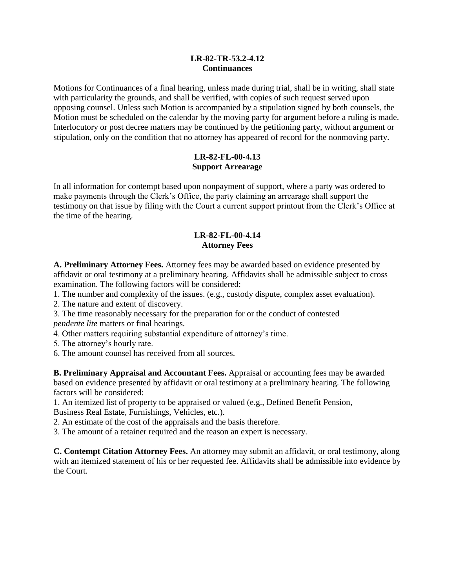## **LR-82-TR-53.2-4.12 Continuances**

Motions for Continuances of a final hearing, unless made during trial, shall be in writing, shall state with particularity the grounds, and shall be verified, with copies of such request served upon opposing counsel. Unless such Motion is accompanied by a stipulation signed by both counsels, the Motion must be scheduled on the calendar by the moving party for argument before a ruling is made. Interlocutory or post decree matters may be continued by the petitioning party, without argument or stipulation, only on the condition that no attorney has appeared of record for the nonmoving party.

## **LR-82-FL-00-4.13 Support Arrearage**

In all information for contempt based upon nonpayment of support, where a party was ordered to make payments through the Clerk's Office, the party claiming an arrearage shall support the testimony on that issue by filing with the Court a current support printout from the Clerk's Office at the time of the hearing.

## **LR-82-FL-00-4.14 Attorney Fees**

**A. Preliminary Attorney Fees.** Attorney fees may be awarded based on evidence presented by affidavit or oral testimony at a preliminary hearing. Affidavits shall be admissible subject to cross examination. The following factors will be considered:

1. The number and complexity of the issues. (e.g., custody dispute, complex asset evaluation).

2. The nature and extent of discovery.

3. The time reasonably necessary for the preparation for or the conduct of contested *pendente lite* matters or final hearings.

4. Other matters requiring substantial expenditure of attorney's time.

5. The attorney's hourly rate.

6. The amount counsel has received from all sources.

**B. Preliminary Appraisal and Accountant Fees.** Appraisal or accounting fees may be awarded based on evidence presented by affidavit or oral testimony at a preliminary hearing. The following factors will be considered:

1. An itemized list of property to be appraised or valued (e.g., Defined Benefit Pension, Business Real Estate, Furnishings, Vehicles, etc.).

2. An estimate of the cost of the appraisals and the basis therefore.

3. The amount of a retainer required and the reason an expert is necessary.

**C. Contempt Citation Attorney Fees.** An attorney may submit an affidavit, or oral testimony, along with an itemized statement of his or her requested fee. Affidavits shall be admissible into evidence by the Court.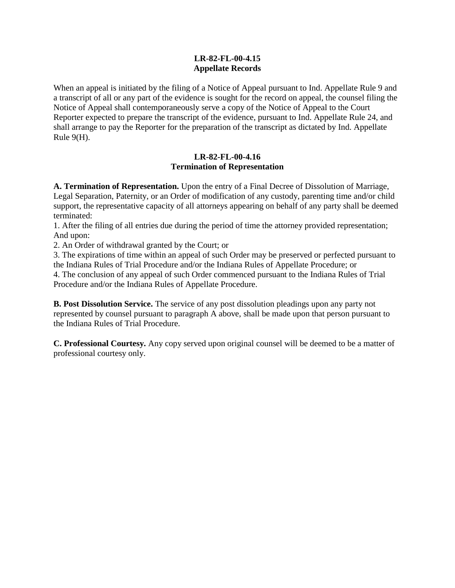# **LR-82-FL-00-4.15 Appellate Records**

When an appeal is initiated by the filing of a Notice of Appeal pursuant to Ind. Appellate Rule 9 and a transcript of all or any part of the evidence is sought for the record on appeal, the counsel filing the Notice of Appeal shall contemporaneously serve a copy of the Notice of Appeal to the Court Reporter expected to prepare the transcript of the evidence, pursuant to Ind. Appellate Rule 24, and shall arrange to pay the Reporter for the preparation of the transcript as dictated by Ind. Appellate Rule 9(H).

## **LR-82-FL-00-4.16 Termination of Representation**

**A. Termination of Representation.** Upon the entry of a Final Decree of Dissolution of Marriage, Legal Separation, Paternity, or an Order of modification of any custody, parenting time and/or child support, the representative capacity of all attorneys appearing on behalf of any party shall be deemed terminated:

1. After the filing of all entries due during the period of time the attorney provided representation; And upon:

2. An Order of withdrawal granted by the Court; or

3. The expirations of time within an appeal of such Order may be preserved or perfected pursuant to the Indiana Rules of Trial Procedure and/or the Indiana Rules of Appellate Procedure; or 4. The conclusion of any appeal of such Order commenced pursuant to the Indiana Rules of Trial

Procedure and/or the Indiana Rules of Appellate Procedure.

**B. Post Dissolution Service.** The service of any post dissolution pleadings upon any party not represented by counsel pursuant to paragraph A above, shall be made upon that person pursuant to the Indiana Rules of Trial Procedure.

**C. Professional Courtesy.** Any copy served upon original counsel will be deemed to be a matter of professional courtesy only.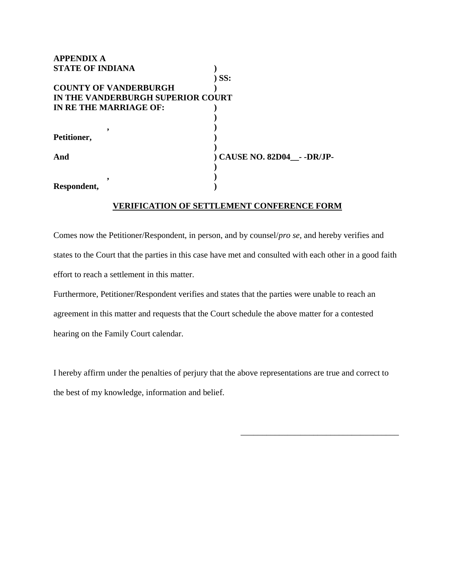| <b>APPENDIX A</b>                 |                            |
|-----------------------------------|----------------------------|
| <b>STATE OF INDIANA</b>           |                            |
|                                   | $)$ SS:                    |
| <b>COUNTY OF VANDERBURGH</b>      |                            |
| IN THE VANDERBURGH SUPERIOR COURT |                            |
| IN RE THE MARRIAGE OF:            |                            |
|                                   |                            |
| ۰                                 |                            |
| Petitioner,                       |                            |
|                                   |                            |
| And                               | ) CAUSE NO. 82D04 --DR/JP- |
|                                   |                            |
|                                   |                            |
| Respondent,                       |                            |

# **VERIFICATION OF SETTLEMENT CONFERENCE FORM**

Comes now the Petitioner/Respondent, in person, and by counsel/*pro se,* and hereby verifies and states to the Court that the parties in this case have met and consulted with each other in a good faith effort to reach a settlement in this matter.

Furthermore, Petitioner/Respondent verifies and states that the parties were unable to reach an agreement in this matter and requests that the Court schedule the above matter for a contested hearing on the Family Court calendar.

I hereby affirm under the penalties of perjury that the above representations are true and correct to the best of my knowledge, information and belief.

\_\_\_\_\_\_\_\_\_\_\_\_\_\_\_\_\_\_\_\_\_\_\_\_\_\_\_\_\_\_\_\_\_\_\_\_\_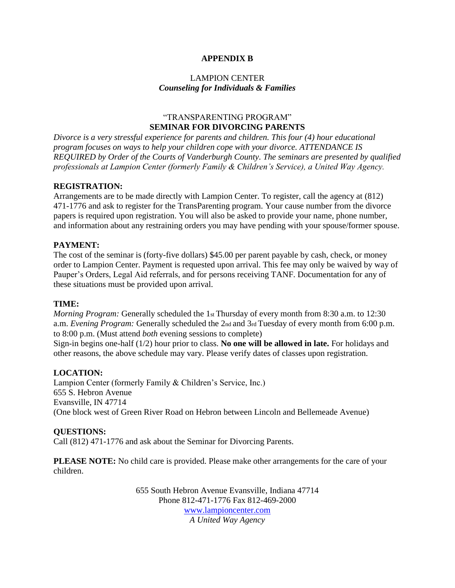# **APPENDIX B**

# LAMPION CENTER *Counseling for Individuals & Families*

### "TRANSPARENTING PROGRAM" **SEMINAR FOR DIVORCING PARENTS**

*Divorce is a very stressful experience for parents and children. This four (4) hour educational program focuses on ways to help your children cope with your divorce. ATTENDANCE IS REQUIRED by Order of the Courts of Vanderburgh County. The seminars are presented by qualified professionals at Lampion Center (formerly Family & Children's Service), a United Way Agency.* 

#### **REGISTRATION:**

Arrangements are to be made directly with Lampion Center. To register, call the agency at (812) 471-1776 and ask to register for the TransParenting program. Your cause number from the divorce papers is required upon registration. You will also be asked to provide your name, phone number, and information about any restraining orders you may have pending with your spouse/former spouse.

#### **PAYMENT:**

The cost of the seminar is (forty-five dollars) \$45.00 per parent payable by cash, check, or money order to Lampion Center. Payment is requested upon arrival. This fee may only be waived by way of Pauper's Orders, Legal Aid referrals, and for persons receiving TANF. Documentation for any of these situations must be provided upon arrival.

#### **TIME:**

*Morning Program:* Generally scheduled the 1st Thursday of every month from 8:30 a.m. to 12:30 a.m. *Evening Program:* Generally scheduled the 2nd and 3rd Tuesday of every month from 6:00 p.m. to 8:00 p.m. (Must attend *both* evening sessions to complete)

Sign-in begins one-half (1/2) hour prior to class. **No one will be allowed in late.** For holidays and other reasons, the above schedule may vary. Please verify dates of classes upon registration.

#### **LOCATION:**

Lampion Center (formerly Family & Children's Service, Inc.) 655 S. Hebron Avenue Evansville, IN 47714 (One block west of Green River Road on Hebron between Lincoln and Bellemeade Avenue)

#### **QUESTIONS:**

Call (812) 471-1776 and ask about the Seminar for Divorcing Parents.

**PLEASE NOTE:** No child care is provided. Please make other arrangements for the care of your children.

> 655 South Hebron Avenue Evansville, Indiana 47714 Phone 812-471-1776 Fax 812-469-2000 [www.lampioncenter.com](http://www.lampioncenter.com/) *A United Way Agency*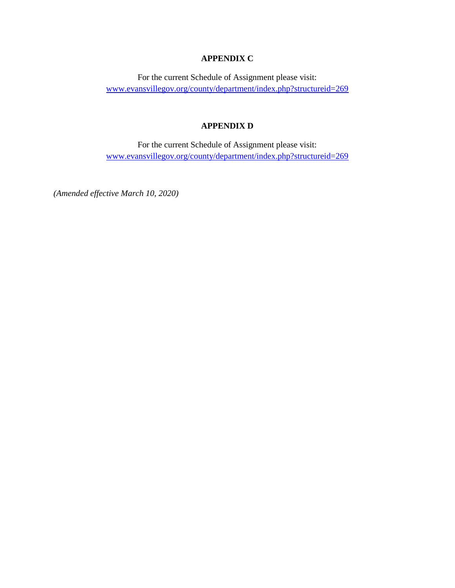# **APPENDIX C**

For the current Schedule of Assignment please visit: [www.evansvillegov.org/county/department/index.php?structureid=269](http://www.evansvillegov.org/county/department/index.php?structureid=269)

## **APPENDIX D**

For the current Schedule of Assignment please visit: [www.evansvillegov.org/county/department/index.php?structureid=269](http://www.evansvillegov.org/county/department/index.php?structureid=269)

*(Amended effective March 10, 2020)*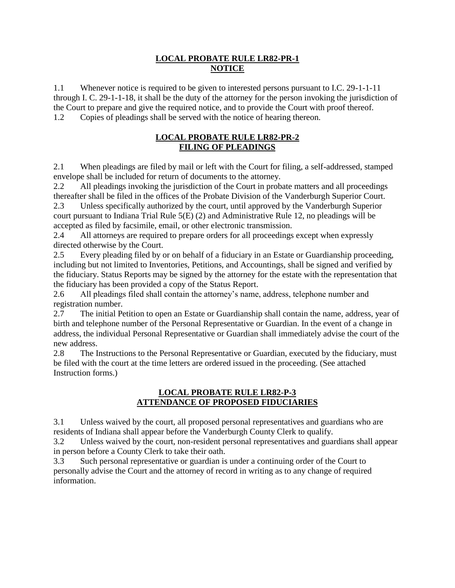# **LOCAL PROBATE RULE LR82-PR-1 NOTICE**

1.1 Whenever notice is required to be given to interested persons pursuant to I.C. 29-1-1-11 through I. C. 29-1-1-18, it shall be the duty of the attorney for the person invoking the jurisdiction of the Court to prepare and give the required notice, and to provide the Court with proof thereof. 1.2 Copies of pleadings shall be served with the notice of hearing thereon.

# **LOCAL PROBATE RULE LR82-PR-2 FILING OF PLEADINGS**

2.1 When pleadings are filed by mail or left with the Court for filing, a self-addressed, stamped envelope shall be included for return of documents to the attorney.

2.2 All pleadings invoking the jurisdiction of the Court in probate matters and all proceedings thereafter shall be filed in the offices of the Probate Division of the Vanderburgh Superior Court.

2.3 Unless specifically authorized by the court, until approved by the Vanderburgh Superior court pursuant to Indiana Trial Rule 5(E) (2) and Administrative Rule 12, no pleadings will be accepted as filed by facsimile, email, or other electronic transmission.

2.4 All attorneys are required to prepare orders for all proceedings except when expressly directed otherwise by the Court.

2.5 Every pleading filed by or on behalf of a fiduciary in an Estate or Guardianship proceeding, including but not limited to Inventories, Petitions, and Accountings, shall be signed and verified by the fiduciary. Status Reports may be signed by the attorney for the estate with the representation that the fiduciary has been provided a copy of the Status Report.

2.6 All pleadings filed shall contain the attorney's name, address, telephone number and registration number.

2.7 The initial Petition to open an Estate or Guardianship shall contain the name, address, year of birth and telephone number of the Personal Representative or Guardian. In the event of a change in address, the individual Personal Representative or Guardian shall immediately advise the court of the new address.

2.8 The Instructions to the Personal Representative or Guardian, executed by the fiduciary, must be filed with the court at the time letters are ordered issued in the proceeding. (See attached Instruction forms.)

# **LOCAL PROBATE RULE LR82-P-3 ATTENDANCE OF PROPOSED FIDUCIARIES**

3.1 Unless waived by the court, all proposed personal representatives and guardians who are residents of Indiana shall appear before the Vanderburgh County Clerk to qualify.

3.2 Unless waived by the court, non-resident personal representatives and guardians shall appear in person before a County Clerk to take their oath.

3.3 Such personal representative or guardian is under a continuing order of the Court to personally advise the Court and the attorney of record in writing as to any change of required information.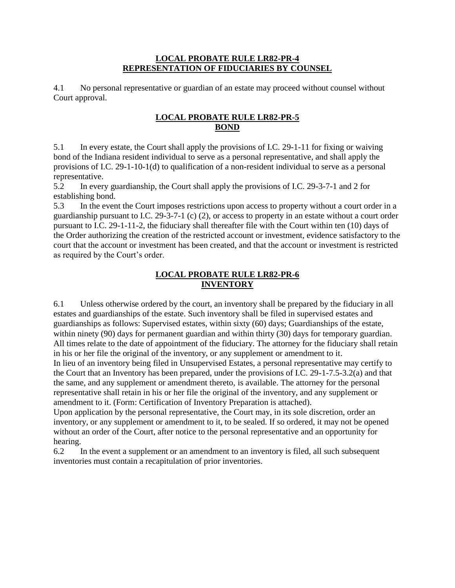## **LOCAL PROBATE RULE LR82-PR-4 REPRESENTATION OF FIDUCIARIES BY COUNSEL**

4.1 No personal representative or guardian of an estate may proceed without counsel without Court approval.

# **LOCAL PROBATE RULE LR82-PR-5 BOND**

5.1 In every estate, the Court shall apply the provisions of I.C. 29-1-11 for fixing or waiving bond of the Indiana resident individual to serve as a personal representative, and shall apply the provisions of I.C. 29-1-10-1(d) to qualification of a non-resident individual to serve as a personal representative.

5.2 In every guardianship, the Court shall apply the provisions of I.C. 29-3-7-1 and 2 for establishing bond.

5.3 In the event the Court imposes restrictions upon access to property without a court order in a guardianship pursuant to I.C. 29-3-7-1 (c) (2), or access to property in an estate without a court order pursuant to I.C. 29-1-11-2, the fiduciary shall thereafter file with the Court within ten (10) days of the Order authorizing the creation of the restricted account or investment, evidence satisfactory to the court that the account or investment has been created, and that the account or investment is restricted as required by the Court's order.

# **LOCAL PROBATE RULE LR82-PR-6 INVENTORY**

6.1 Unless otherwise ordered by the court, an inventory shall be prepared by the fiduciary in all estates and guardianships of the estate. Such inventory shall be filed in supervised estates and guardianships as follows: Supervised estates, within sixty (60) days; Guardianships of the estate, within ninety (90) days for permanent guardian and within thirty (30) days for temporary guardian. All times relate to the date of appointment of the fiduciary. The attorney for the fiduciary shall retain in his or her file the original of the inventory, or any supplement or amendment to it. In lieu of an inventory being filed in Unsupervised Estates, a personal representative may certify to the Court that an Inventory has been prepared, under the provisions of I.C. 29-1-7.5-3.2(a) and that the same, and any supplement or amendment thereto, is available. The attorney for the personal representative shall retain in his or her file the original of the inventory, and any supplement or amendment to it. (Form: Certification of Inventory Preparation is attached).

Upon application by the personal representative, the Court may, in its sole discretion, order an inventory, or any supplement or amendment to it, to be sealed. If so ordered, it may not be opened without an order of the Court, after notice to the personal representative and an opportunity for hearing.

6.2 In the event a supplement or an amendment to an inventory is filed, all such subsequent inventories must contain a recapitulation of prior inventories.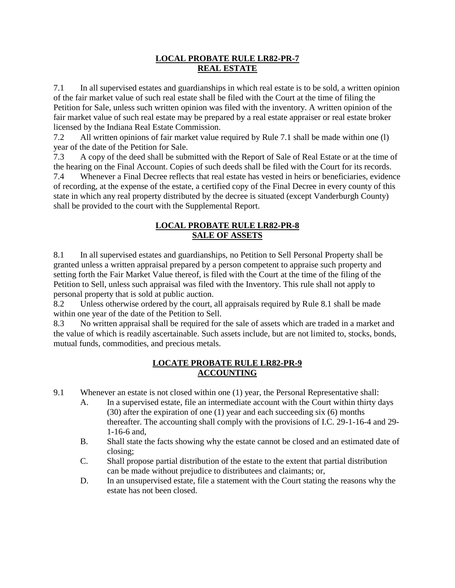# **LOCAL PROBATE RULE LR82-PR-7 REAL ESTATE**

7.1 In all supervised estates and guardianships in which real estate is to be sold, a written opinion of the fair market value of such real estate shall be filed with the Court at the time of filing the Petition for Sale, unless such written opinion was filed with the inventory. A written opinion of the fair market value of such real estate may be prepared by a real estate appraiser or real estate broker licensed by the Indiana Real Estate Commission.

7.2 All written opinions of fair market value required by Rule 7.1 shall be made within one (l) year of the date of the Petition for Sale.

7.3 A copy of the deed shall be submitted with the Report of Sale of Real Estate or at the time of the hearing on the Final Account. Copies of such deeds shall be filed with the Court for its records. 7.4 Whenever a Final Decree reflects that real estate has vested in heirs or beneficiaries, evidence of recording, at the expense of the estate, a certified copy of the Final Decree in every county of this state in which any real property distributed by the decree is situated (except Vanderburgh County) shall be provided to the court with the Supplemental Report.

# **LOCAL PROBATE RULE LR82-PR-8 SALE OF ASSETS**

8.1 In all supervised estates and guardianships, no Petition to Sell Personal Property shall be granted unless a written appraisal prepared by a person competent to appraise such property and setting forth the Fair Market Value thereof, is filed with the Court at the time of the filing of the Petition to Sell, unless such appraisal was filed with the Inventory. This rule shall not apply to personal property that is sold at public auction.

8.2 Unless otherwise ordered by the court, all appraisals required by Rule 8.1 shall be made within one year of the date of the Petition to Sell.

8.3 No written appraisal shall be required for the sale of assets which are traded in a market and the value of which is readily ascertainable. Such assets include, but are not limited to, stocks, bonds, mutual funds, commodities, and precious metals.

# **LOCATE PROBATE RULE LR82-PR-9 ACCOUNTING**

- 9.1 Whenever an estate is not closed within one (1) year, the Personal Representative shall:
	- A. In a supervised estate, file an intermediate account with the Court within thirty days (30) after the expiration of one (1) year and each succeeding six (6) months thereafter. The accounting shall comply with the provisions of I.C. 29-1-16-4 and 29- 1-16-6 and,
	- B. Shall state the facts showing why the estate cannot be closed and an estimated date of closing;
	- C. Shall propose partial distribution of the estate to the extent that partial distribution can be made without prejudice to distributees and claimants; or,
	- D. In an unsupervised estate, file a statement with the Court stating the reasons why the estate has not been closed.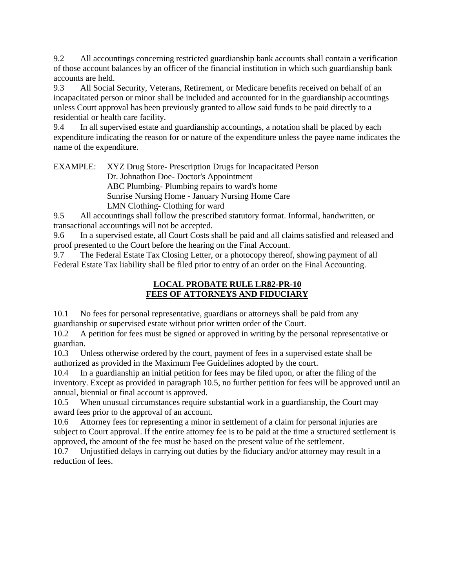9.2 All accountings concerning restricted guardianship bank accounts shall contain a verification of those account balances by an officer of the financial institution in which such guardianship bank accounts are held.

9.3 All Social Security, Veterans, Retirement, or Medicare benefits received on behalf of an incapacitated person or minor shall be included and accounted for in the guardianship accountings unless Court approval has been previously granted to allow said funds to be paid directly to a residential or health care facility.

9.4 In all supervised estate and guardianship accountings, a notation shall be placed by each expenditure indicating the reason for or nature of the expenditure unless the payee name indicates the name of the expenditure.

EXAMPLE: XYZ Drug Store- Prescription Drugs for Incapacitated Person Dr. Johnathon Doe- Doctor's Appointment ABC Plumbing- Plumbing repairs to ward's home Sunrise Nursing Home - January Nursing Home Care LMN Clothing- Clothing for ward

9.5 All accountings shall follow the prescribed statutory format. Informal, handwritten, or transactional accountings will not be accepted.

9.6 In a supervised estate, all Court Costs shall be paid and all claims satisfied and released and proof presented to the Court before the hearing on the Final Account.

9.7 The Federal Estate Tax Closing Letter, or a photocopy thereof, showing payment of all Federal Estate Tax liability shall be filed prior to entry of an order on the Final Accounting.

# **LOCAL PROBATE RULE LR82-PR-10 FEES OF ATTORNEYS AND FIDUCIARY**

10.1 No fees for personal representative, guardians or attorneys shall be paid from any guardianship or supervised estate without prior written order of the Court.

10.2 A petition for fees must be signed or approved in writing by the personal representative or guardian.

10.3 Unless otherwise ordered by the court, payment of fees in a supervised estate shall be authorized as provided in the Maximum Fee Guidelines adopted by the court.

10.4 In a guardianship an initial petition for fees may be filed upon, or after the filing of the inventory. Except as provided in paragraph 10.5, no further petition for fees will be approved until an annual, biennial or final account is approved.

10.5 When unusual circumstances require substantial work in a guardianship, the Court may award fees prior to the approval of an account.

10.6 Attorney fees for representing a minor in settlement of a claim for personal injuries are subject to Court approval. If the entire attorney fee is to be paid at the time a structured settlement is approved, the amount of the fee must be based on the present value of the settlement.

10.7 Unjustified delays in carrying out duties by the fiduciary and/or attorney may result in a reduction of fees.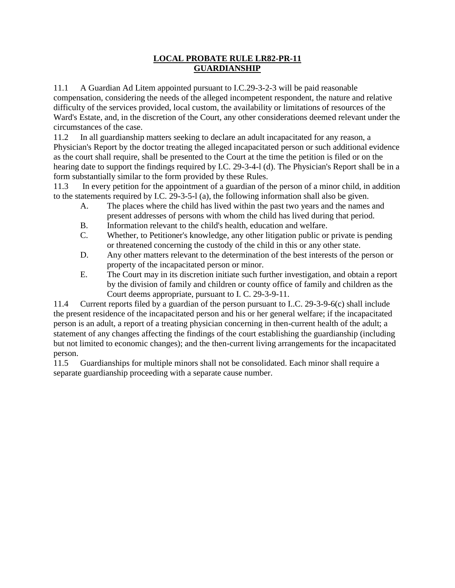# **LOCAL PROBATE RULE LR82-PR-11 GUARDIANSHIP**

11.1 A Guardian Ad Litem appointed pursuant to I.C.29-3-2-3 will be paid reasonable compensation, considering the needs of the alleged incompetent respondent, the nature and relative difficulty of the services provided, local custom, the availability or limitations of resources of the Ward's Estate, and, in the discretion of the Court, any other considerations deemed relevant under the circumstances of the case.

11.2 In all guardianship matters seeking to declare an adult incapacitated for any reason, a Physician's Report by the doctor treating the alleged incapacitated person or such additional evidence as the court shall require, shall be presented to the Court at the time the petition is filed or on the hearing date to support the findings required by I.C. 29-3-4-l (d). The Physician's Report shall be in a form substantially similar to the form provided by these Rules.

11.3 In every petition for the appointment of a guardian of the person of a minor child, in addition to the statements required by I.C. 29-3-5-l (a), the following information shall also be given.

- A. The places where the child has lived within the past two years and the names and present addresses of persons with whom the child has lived during that period.
- B. Information relevant to the child's health, education and welfare.
- C. Whether, to Petitioner's knowledge, any other litigation public or private is pending or threatened concerning the custody of the child in this or any other state.
- D. Any other matters relevant to the determination of the best interests of the person or property of the incapacitated person or minor.
- E. The Court may in its discretion initiate such further investigation, and obtain a report by the division of family and children or county office of family and children as the Court deems appropriate, pursuant to I. C. 29-3-9-11.

11.4 Current reports filed by a guardian of the person pursuant to I..C. 29-3-9-6(c) shall include the present residence of the incapacitated person and his or her general welfare; if the incapacitated person is an adult, a report of a treating physician concerning in then-current health of the adult; a statement of any changes affecting the findings of the court establishing the guardianship (including but not limited to economic changes); and the then-current living arrangements for the incapacitated person.

11.5 Guardianships for multiple minors shall not be consolidated. Each minor shall require a separate guardianship proceeding with a separate cause number.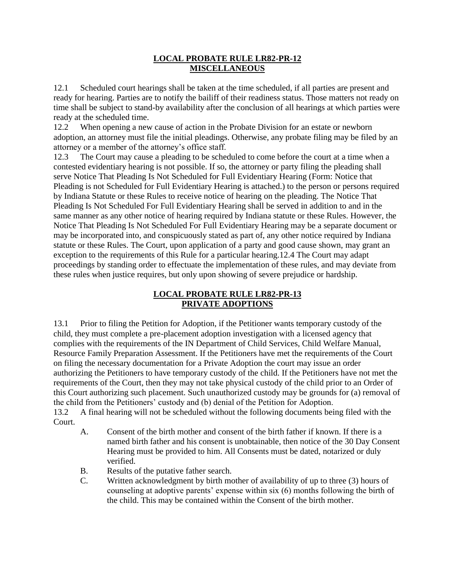# **LOCAL PROBATE RULE LR82-PR-12 MISCELLANEOUS**

12.1 Scheduled court hearings shall be taken at the time scheduled, if all parties are present and ready for hearing. Parties are to notify the bailiff of their readiness status. Those matters not ready on time shall be subject to stand-by availability after the conclusion of all hearings at which parties were ready at the scheduled time.

12.2 When opening a new cause of action in the Probate Division for an estate or newborn adoption, an attorney must file the initial pleadings. Otherwise, any probate filing may be filed by an attorney or a member of the attorney's office staff.

12.3 The Court may cause a pleading to be scheduled to come before the court at a time when a contested evidentiary hearing is not possible. If so, the attorney or party filing the pleading shall serve Notice That Pleading Is Not Scheduled for Full Evidentiary Hearing (Form: Notice that Pleading is not Scheduled for Full Evidentiary Hearing is attached.) to the person or persons required by Indiana Statute or these Rules to receive notice of hearing on the pleading. The Notice That Pleading Is Not Scheduled For Full Evidentiary Hearing shall be served in addition to and in the same manner as any other notice of hearing required by Indiana statute or these Rules. However, the Notice That Pleading Is Not Scheduled For Full Evidentiary Hearing may be a separate document or may be incorporated into, and conspicuously stated as part of, any other notice required by Indiana statute or these Rules. The Court, upon application of a party and good cause shown, may grant an exception to the requirements of this Rule for a particular hearing.12.4 The Court may adapt proceedings by standing order to effectuate the implementation of these rules, and may deviate from these rules when justice requires, but only upon showing of severe prejudice or hardship.

# **LOCAL PROBATE RULE LR82-PR-13 PRIVATE ADOPTIONS**

13.1 Prior to filing the Petition for Adoption, if the Petitioner wants temporary custody of the child, they must complete a pre-placement adoption investigation with a licensed agency that complies with the requirements of the IN Department of Child Services, Child Welfare Manual, Resource Family Preparation Assessment. If the Petitioners have met the requirements of the Court on filing the necessary documentation for a Private Adoption the court may issue an order authorizing the Petitioners to have temporary custody of the child. If the Petitioners have not met the requirements of the Court, then they may not take physical custody of the child prior to an Order of this Court authorizing such placement. Such unauthorized custody may be grounds for (a) removal of the child from the Petitioners' custody and (b) denial of the Petition for Adoption.

13.2 A final hearing will not be scheduled without the following documents being filed with the Court.

- A. Consent of the birth mother and consent of the birth father if known. If there is a named birth father and his consent is unobtainable, then notice of the 30 Day Consent Hearing must be provided to him. All Consents must be dated, notarized or duly verified.
- B. Results of the putative father search.
- C. Written acknowledgment by birth mother of availability of up to three (3) hours of counseling at adoptive parents' expense within six (6) months following the birth of the child. This may be contained within the Consent of the birth mother.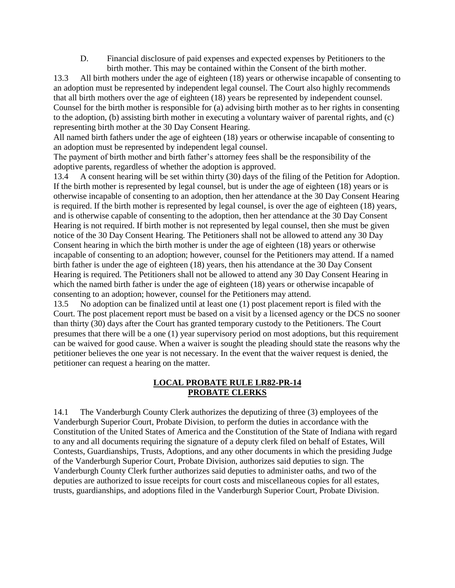D. Financial disclosure of paid expenses and expected expenses by Petitioners to the birth mother. This may be contained within the Consent of the birth mother.

13.3 All birth mothers under the age of eighteen (18) years or otherwise incapable of consenting to an adoption must be represented by independent legal counsel. The Court also highly recommends that all birth mothers over the age of eighteen (18) years be represented by independent counsel. Counsel for the birth mother is responsible for (a) advising birth mother as to her rights in consenting to the adoption, (b) assisting birth mother in executing a voluntary waiver of parental rights, and (c) representing birth mother at the 30 Day Consent Hearing.

All named birth fathers under the age of eighteen (18) years or otherwise incapable of consenting to an adoption must be represented by independent legal counsel.

The payment of birth mother and birth father's attorney fees shall be the responsibility of the adoptive parents, regardless of whether the adoption is approved.

13.4 A consent hearing will be set within thirty (30) days of the filing of the Petition for Adoption. If the birth mother is represented by legal counsel, but is under the age of eighteen (18) years or is otherwise incapable of consenting to an adoption, then her attendance at the 30 Day Consent Hearing is required. If the birth mother is represented by legal counsel, is over the age of eighteen (18) years, and is otherwise capable of consenting to the adoption, then her attendance at the 30 Day Consent Hearing is not required. If birth mother is not represented by legal counsel, then she must be given notice of the 30 Day Consent Hearing. The Petitioners shall not be allowed to attend any 30 Day Consent hearing in which the birth mother is under the age of eighteen (18) years or otherwise incapable of consenting to an adoption; however, counsel for the Petitioners may attend. If a named birth father is under the age of eighteen (18) years, then his attendance at the 30 Day Consent Hearing is required. The Petitioners shall not be allowed to attend any 30 Day Consent Hearing in which the named birth father is under the age of eighteen (18) years or otherwise incapable of consenting to an adoption; however, counsel for the Petitioners may attend.

13.5 No adoption can be finalized until at least one (1) post placement report is filed with the Court. The post placement report must be based on a visit by a licensed agency or the DCS no sooner than thirty (30) days after the Court has granted temporary custody to the Petitioners. The Court presumes that there will be a one (1) year supervisory period on most adoptions, but this requirement can be waived for good cause. When a waiver is sought the pleading should state the reasons why the petitioner believes the one year is not necessary. In the event that the waiver request is denied, the petitioner can request a hearing on the matter.

# **LOCAL PROBATE RULE LR82-PR-14 PROBATE CLERKS**

14.1 The Vanderburgh County Clerk authorizes the deputizing of three (3) employees of the Vanderburgh Superior Court, Probate Division, to perform the duties in accordance with the Constitution of the United States of America and the Constitution of the State of Indiana with regard to any and all documents requiring the signature of a deputy clerk filed on behalf of Estates, Will Contests, Guardianships, Trusts, Adoptions, and any other documents in which the presiding Judge of the Vanderburgh Superior Court, Probate Division, authorizes said deputies to sign. The Vanderburgh County Clerk further authorizes said deputies to administer oaths, and two of the deputies are authorized to issue receipts for court costs and miscellaneous copies for all estates, trusts, guardianships, and adoptions filed in the Vanderburgh Superior Court, Probate Division.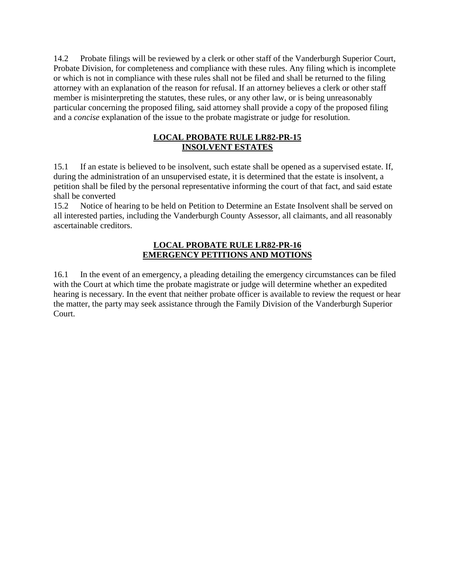14.2 Probate filings will be reviewed by a clerk or other staff of the Vanderburgh Superior Court, Probate Division, for completeness and compliance with these rules. Any filing which is incomplete or which is not in compliance with these rules shall not be filed and shall be returned to the filing attorney with an explanation of the reason for refusal. If an attorney believes a clerk or other staff member is misinterpreting the statutes, these rules, or any other law, or is being unreasonably particular concerning the proposed filing, said attorney shall provide a copy of the proposed filing and a *concise* explanation of the issue to the probate magistrate or judge for resolution.

# **LOCAL PROBATE RULE LR82-PR-15 INSOLVENT ESTATES**

15.1 If an estate is believed to be insolvent, such estate shall be opened as a supervised estate. If, during the administration of an unsupervised estate, it is determined that the estate is insolvent, a petition shall be filed by the personal representative informing the court of that fact, and said estate shall be converted

15.2 Notice of hearing to be held on Petition to Determine an Estate Insolvent shall be served on all interested parties, including the Vanderburgh County Assessor, all claimants, and all reasonably ascertainable creditors.

# **LOCAL PROBATE RULE LR82-PR-16 EMERGENCY PETITIONS AND MOTIONS**

16.1 In the event of an emergency, a pleading detailing the emergency circumstances can be filed with the Court at which time the probate magistrate or judge will determine whether an expedited hearing is necessary. In the event that neither probate officer is available to review the request or hear the matter, the party may seek assistance through the Family Division of the Vanderburgh Superior Court.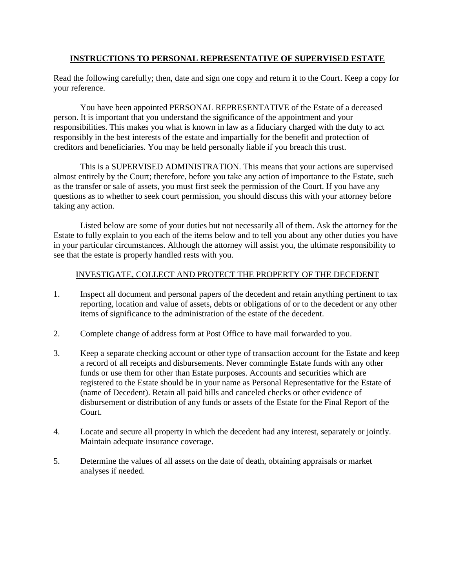# **INSTRUCTIONS TO PERSONAL REPRESENTATIVE OF SUPERVISED ESTATE**

Read the following carefully; then, date and sign one copy and return it to the Court. Keep a copy for your reference.

You have been appointed PERSONAL REPRESENTATIVE of the Estate of a deceased person. It is important that you understand the significance of the appointment and your responsibilities. This makes you what is known in law as a fiduciary charged with the duty to act responsibly in the best interests of the estate and impartially for the benefit and protection of creditors and beneficiaries. You may be held personally liable if you breach this trust.

This is a SUPERVISED ADMINISTRATION. This means that your actions are supervised almost entirely by the Court; therefore, before you take any action of importance to the Estate, such as the transfer or sale of assets, you must first seek the permission of the Court. If you have any questions as to whether to seek court permission, you should discuss this with your attorney before taking any action.

Listed below are some of your duties but not necessarily all of them. Ask the attorney for the Estate to fully explain to you each of the items below and to tell you about any other duties you have in your particular circumstances. Although the attorney will assist you, the ultimate responsibility to see that the estate is properly handled rests with you.

# INVESTIGATE, COLLECT AND PROTECT THE PROPERTY OF THE DECEDENT

- 1. Inspect all document and personal papers of the decedent and retain anything pertinent to tax reporting, location and value of assets, debts or obligations of or to the decedent or any other items of significance to the administration of the estate of the decedent.
- 2. Complete change of address form at Post Office to have mail forwarded to you.
- 3. Keep a separate checking account or other type of transaction account for the Estate and keep a record of all receipts and disbursements. Never commingle Estate funds with any other funds or use them for other than Estate purposes. Accounts and securities which are registered to the Estate should be in your name as Personal Representative for the Estate of (name of Decedent). Retain all paid bills and canceled checks or other evidence of disbursement or distribution of any funds or assets of the Estate for the Final Report of the Court.
- 4. Locate and secure all property in which the decedent had any interest, separately or jointly. Maintain adequate insurance coverage.
- 5. Determine the values of all assets on the date of death, obtaining appraisals or market analyses if needed.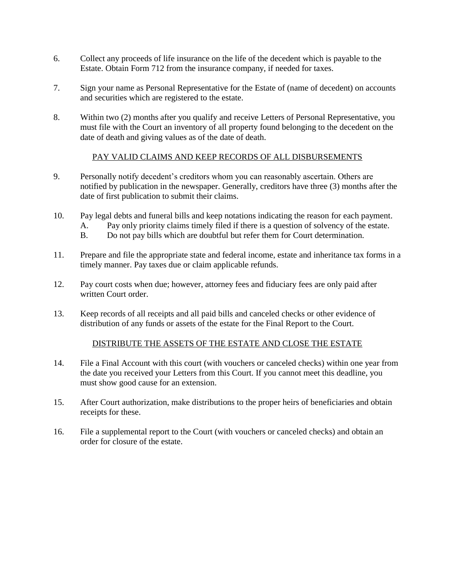- 6. Collect any proceeds of life insurance on the life of the decedent which is payable to the Estate. Obtain Form 712 from the insurance company, if needed for taxes.
- 7. Sign your name as Personal Representative for the Estate of (name of decedent) on accounts and securities which are registered to the estate.
- 8. Within two (2) months after you qualify and receive Letters of Personal Representative, you must file with the Court an inventory of all property found belonging to the decedent on the date of death and giving values as of the date of death.

# PAY VALID CLAIMS AND KEEP RECORDS OF ALL DISBURSEMENTS

- 9. Personally notify decedent's creditors whom you can reasonably ascertain. Others are notified by publication in the newspaper. Generally, creditors have three (3) months after the date of first publication to submit their claims.
- 10. Pay legal debts and funeral bills and keep notations indicating the reason for each payment.
	- A. Pay only priority claims timely filed if there is a question of solvency of the estate.
	- B. Do not pay bills which are doubtful but refer them for Court determination.
- 11. Prepare and file the appropriate state and federal income, estate and inheritance tax forms in a timely manner. Pay taxes due or claim applicable refunds.
- 12. Pay court costs when due; however, attorney fees and fiduciary fees are only paid after written Court order.
- 13. Keep records of all receipts and all paid bills and canceled checks or other evidence of distribution of any funds or assets of the estate for the Final Report to the Court.

# DISTRIBUTE THE ASSETS OF THE ESTATE AND CLOSE THE ESTATE

- 14. File a Final Account with this court (with vouchers or canceled checks) within one year from the date you received your Letters from this Court. If you cannot meet this deadline, you must show good cause for an extension.
- 15. After Court authorization, make distributions to the proper heirs of beneficiaries and obtain receipts for these.
- 16. File a supplemental report to the Court (with vouchers or canceled checks) and obtain an order for closure of the estate.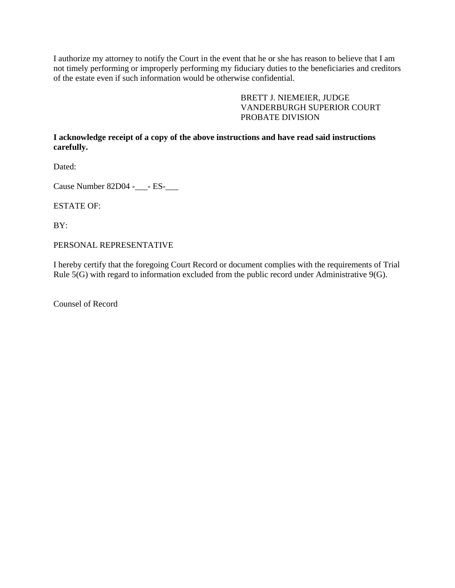I authorize my attorney to notify the Court in the event that he or she has reason to believe that I am not timely performing or improperly performing my fiduciary duties to the beneficiaries and creditors of the estate even if such information would be otherwise confidential.

## BRETT J. NIEMEIER, JUDGE VANDERBURGH SUPERIOR COURT PROBATE DIVISION

# **I acknowledge receipt of a copy of the above instructions and have read said instructions carefully.**

Dated:

Cause Number 82D04 -\_\_\_- ES-\_\_\_

ESTATE OF:

BY:

PERSONAL REPRESENTATIVE

I hereby certify that the foregoing Court Record or document complies with the requirements of Trial Rule 5(G) with regard to information excluded from the public record under Administrative 9(G).

Counsel of Record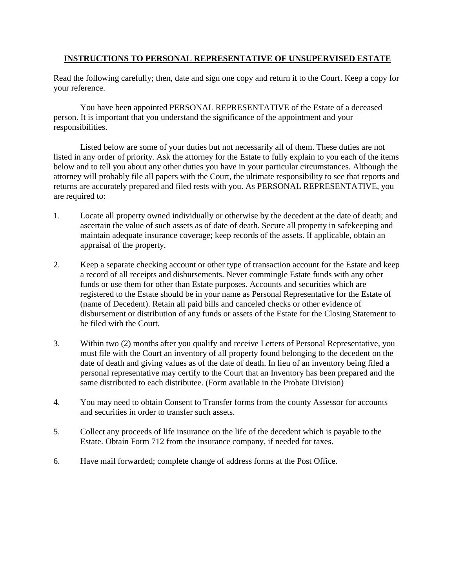# **INSTRUCTIONS TO PERSONAL REPRESENTATIVE OF UNSUPERVISED ESTATE**

Read the following carefully; then, date and sign one copy and return it to the Court. Keep a copy for your reference.

You have been appointed PERSONAL REPRESENTATIVE of the Estate of a deceased person. It is important that you understand the significance of the appointment and your responsibilities.

Listed below are some of your duties but not necessarily all of them. These duties are not listed in any order of priority. Ask the attorney for the Estate to fully explain to you each of the items below and to tell you about any other duties you have in your particular circumstances. Although the attorney will probably file all papers with the Court, the ultimate responsibility to see that reports and returns are accurately prepared and filed rests with you. As PERSONAL REPRESENTATIVE, you are required to:

- 1. Locate all property owned individually or otherwise by the decedent at the date of death; and ascertain the value of such assets as of date of death. Secure all property in safekeeping and maintain adequate insurance coverage; keep records of the assets. If applicable, obtain an appraisal of the property.
- 2. Keep a separate checking account or other type of transaction account for the Estate and keep a record of all receipts and disbursements. Never commingle Estate funds with any other funds or use them for other than Estate purposes. Accounts and securities which are registered to the Estate should be in your name as Personal Representative for the Estate of (name of Decedent). Retain all paid bills and canceled checks or other evidence of disbursement or distribution of any funds or assets of the Estate for the Closing Statement to be filed with the Court.
- 3. Within two (2) months after you qualify and receive Letters of Personal Representative, you must file with the Court an inventory of all property found belonging to the decedent on the date of death and giving values as of the date of death. In lieu of an inventory being filed a personal representative may certify to the Court that an Inventory has been prepared and the same distributed to each distributee. (Form available in the Probate Division)
- 4. You may need to obtain Consent to Transfer forms from the county Assessor for accounts and securities in order to transfer such assets.
- 5. Collect any proceeds of life insurance on the life of the decedent which is payable to the Estate. Obtain Form 712 from the insurance company, if needed for taxes.
- 6. Have mail forwarded; complete change of address forms at the Post Office.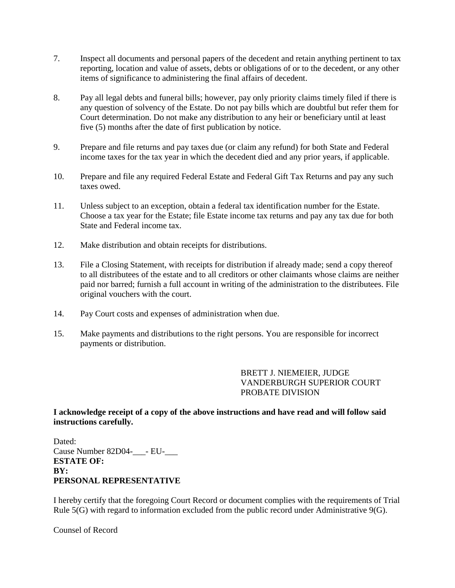- 7. Inspect all documents and personal papers of the decedent and retain anything pertinent to tax reporting, location and value of assets, debts or obligations of or to the decedent, or any other items of significance to administering the final affairs of decedent.
- 8. Pay all legal debts and funeral bills; however, pay only priority claims timely filed if there is any question of solvency of the Estate. Do not pay bills which are doubtful but refer them for Court determination. Do not make any distribution to any heir or beneficiary until at least five (5) months after the date of first publication by notice.
- 9. Prepare and file returns and pay taxes due (or claim any refund) for both State and Federal income taxes for the tax year in which the decedent died and any prior years, if applicable.
- 10. Prepare and file any required Federal Estate and Federal Gift Tax Returns and pay any such taxes owed.
- 11. Unless subject to an exception, obtain a federal tax identification number for the Estate. Choose a tax year for the Estate; file Estate income tax returns and pay any tax due for both State and Federal income tax.
- 12. Make distribution and obtain receipts for distributions.
- 13. File a Closing Statement, with receipts for distribution if already made; send a copy thereof to all distributees of the estate and to all creditors or other claimants whose claims are neither paid nor barred; furnish a full account in writing of the administration to the distributees. File original vouchers with the court.
- 14. Pay Court costs and expenses of administration when due.
- 15. Make payments and distributions to the right persons. You are responsible for incorrect payments or distribution.

BRETT J. NIEMEIER, JUDGE VANDERBURGH SUPERIOR COURT PROBATE DIVISION

**I acknowledge receipt of a copy of the above instructions and have read and will follow said instructions carefully.** 

Dated: Cause Number 82D04-\_\_\_- EU-\_\_\_ **ESTATE OF: BY: PERSONAL REPRESENTATIVE** 

I hereby certify that the foregoing Court Record or document complies with the requirements of Trial Rule 5(G) with regard to information excluded from the public record under Administrative 9(G).

Counsel of Record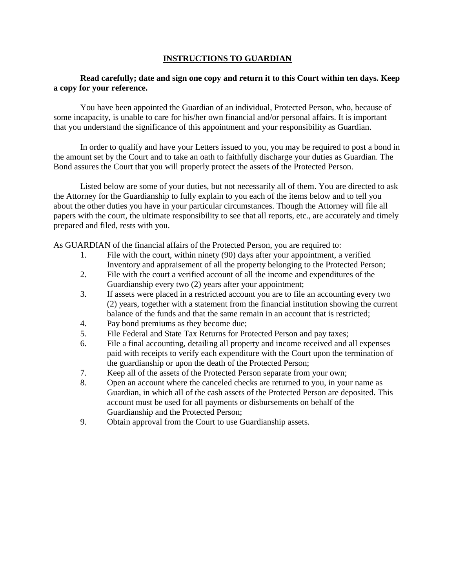# **INSTRUCTIONS TO GUARDIAN**

# **Read carefully; date and sign one copy and return it to this Court within ten days. Keep a copy for your reference.**

You have been appointed the Guardian of an individual, Protected Person, who, because of some incapacity, is unable to care for his/her own financial and/or personal affairs. It is important that you understand the significance of this appointment and your responsibility as Guardian.

In order to qualify and have your Letters issued to you, you may be required to post a bond in the amount set by the Court and to take an oath to faithfully discharge your duties as Guardian. The Bond assures the Court that you will properly protect the assets of the Protected Person.

Listed below are some of your duties, but not necessarily all of them. You are directed to ask the Attorney for the Guardianship to fully explain to you each of the items below and to tell you about the other duties you have in your particular circumstances. Though the Attorney will file all papers with the court, the ultimate responsibility to see that all reports, etc., are accurately and timely prepared and filed, rests with you.

As GUARDIAN of the financial affairs of the Protected Person, you are required to:

- 1. File with the court, within ninety (90) days after your appointment, a verified Inventory and appraisement of all the property belonging to the Protected Person;
- 2. File with the court a verified account of all the income and expenditures of the Guardianship every two (2) years after your appointment;
- 3. If assets were placed in a restricted account you are to file an accounting every two (2) years, together with a statement from the financial institution showing the current balance of the funds and that the same remain in an account that is restricted;
- 4. Pay bond premiums as they become due;
- 5. File Federal and State Tax Returns for Protected Person and pay taxes;
- 6. File a final accounting, detailing all property and income received and all expenses paid with receipts to verify each expenditure with the Court upon the termination of the guardianship or upon the death of the Protected Person;
- 7. Keep all of the assets of the Protected Person separate from your own;
- 8. Open an account where the canceled checks are returned to you, in your name as Guardian, in which all of the cash assets of the Protected Person are deposited. This account must be used for all payments or disbursements on behalf of the Guardianship and the Protected Person;
- 9. Obtain approval from the Court to use Guardianship assets.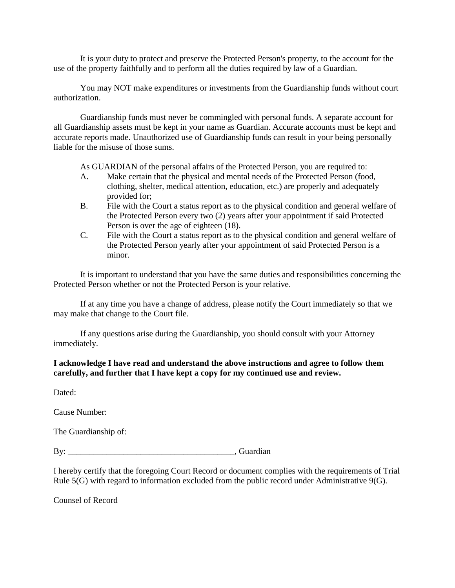It is your duty to protect and preserve the Protected Person's property, to the account for the use of the property faithfully and to perform all the duties required by law of a Guardian.

You may NOT make expenditures or investments from the Guardianship funds without court authorization.

Guardianship funds must never be commingled with personal funds. A separate account for all Guardianship assets must be kept in your name as Guardian. Accurate accounts must be kept and accurate reports made. Unauthorized use of Guardianship funds can result in your being personally liable for the misuse of those sums.

As GUARDIAN of the personal affairs of the Protected Person, you are required to:

- A. Make certain that the physical and mental needs of the Protected Person (food, clothing, shelter, medical attention, education, etc.) are properly and adequately provided for;
- B. File with the Court a status report as to the physical condition and general welfare of the Protected Person every two (2) years after your appointment if said Protected Person is over the age of eighteen (18).
- C. File with the Court a status report as to the physical condition and general welfare of the Protected Person yearly after your appointment of said Protected Person is a minor.

It is important to understand that you have the same duties and responsibilities concerning the Protected Person whether or not the Protected Person is your relative.

If at any time you have a change of address, please notify the Court immediately so that we may make that change to the Court file.

If any questions arise during the Guardianship, you should consult with your Attorney immediately.

## **I acknowledge I have read and understand the above instructions and agree to follow them carefully, and further that I have kept a copy for my continued use and review.**

Dated:

Cause Number:

The Guardianship of:

By: Guardian

I hereby certify that the foregoing Court Record or document complies with the requirements of Trial Rule 5(G) with regard to information excluded from the public record under Administrative 9(G).

Counsel of Record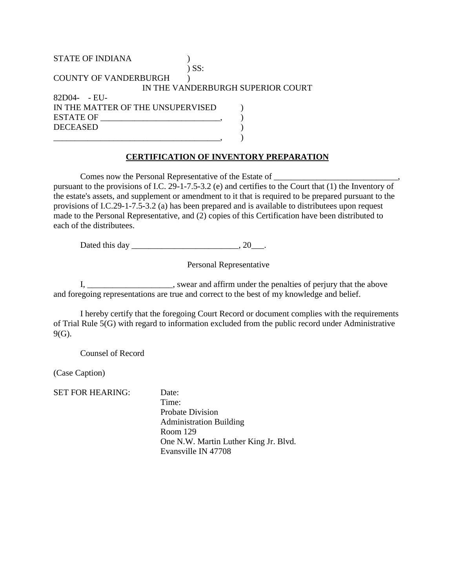| $\sum$ SS:                        |                                   |
|-----------------------------------|-----------------------------------|
| <b>COUNTY OF VANDERBURGH</b>      |                                   |
|                                   | IN THE VANDERBURGH SUPERIOR COURT |
|                                   |                                   |
| IN THE MATTER OF THE UNSUPERVISED |                                   |
|                                   |                                   |
|                                   |                                   |
|                                   |                                   |
|                                   |                                   |

## **CERTIFICATION OF INVENTORY PREPARATION**

Comes now the Personal Representative of the Estate of \_\_\_\_\_\_\_\_\_\_\_\_\_\_\_\_\_\_\_\_\_\_\_\_\_ pursuant to the provisions of I.C. 29-1-7.5-3.2 (e) and certifies to the Court that (1) the Inventory of the estate's assets, and supplement or amendment to it that is required to be prepared pursuant to the provisions of I.C.29-1-7.5-3.2 (a) has been prepared and is available to distributees upon request made to the Personal Representative, and (2) copies of this Certification have been distributed to each of the distributees.

Dated this day  $\qquad \qquad \qquad .20 \qquad .$ 

Personal Representative

I, \_\_\_\_\_\_\_\_\_\_\_\_\_\_\_\_\_\_\_\_, swear and affirm under the penalties of perjury that the above and foregoing representations are true and correct to the best of my knowledge and belief.

I hereby certify that the foregoing Court Record or document complies with the requirements of Trial Rule 5(G) with regard to information excluded from the public record under Administrative 9(G).

Counsel of Record

(Case Caption)

SET FOR HEARING: Date:

Time: Probate Division Administration Building Room 129 One N.W. Martin Luther King Jr. Blvd. Evansville IN 47708